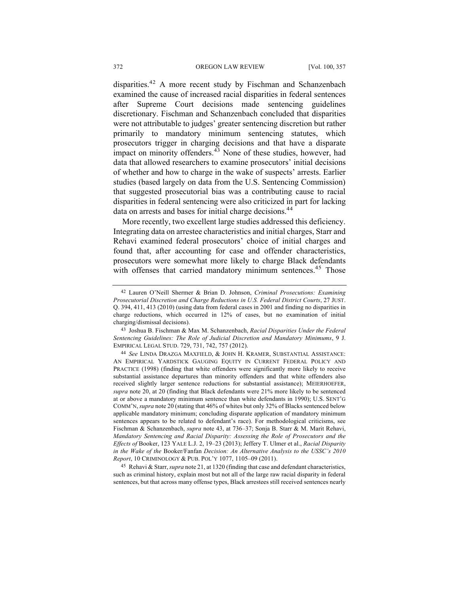disparities.<sup>42</sup> A more recent study by Fischman and Schanzenbach examined the cause of increased racial disparities in federal sentences after Supreme Court decisions made sentencing guidelines discretionary. Fischman and Schanzenbach concluded that disparities were not attributable to judges' greater sentencing discretion but rather primarily to mandatory minimum sentencing statutes, which prosecutors trigger in charging decisions and that have a disparate impact on minority offenders.<sup>43</sup> None of these studies, however, had data that allowed researchers to examine prosecutors' initial decisions of whether and how to charge in the wake of suspects' arrests. Earlier studies (based largely on data from the U.S. Sentencing Commission) that suggested prosecutorial bias was a contributing cause to racial disparities in federal sentencing were also criticized in part for lacking data on arrests and bases for initial charge decisions.<sup>44</sup>

More recently, two excellent large studies addressed this deficiency. Integrating data on arrestee characteristics and initial charges, Starr and Rehavi examined federal prosecutors' choice of initial charges and found that, after accounting for case and offender characteristics, prosecutors were somewhat more likely to charge Black defendants with offenses that carried mandatory minimum sentences.<sup>45</sup> Those

45 Rehavi & Starr, *supra* note 21, at 1320 (finding that case and defendant characteristics, such as criminal history, explain most but not all of the large raw racial disparity in federal sentences, but that across many offense types, Black arrestees still received sentences nearly

<sup>42</sup> Lauren O'Neill Shermer & Brian D. Johnson, *Criminal Prosecutions: Examining Prosecutorial Discretion and Charge Reductions in U.S. Federal District Courts*, 27 JUST. Q. 394, 411, 413 (2010) (using data from federal cases in 2001 and finding no disparities in charge reductions, which occurred in 12% of cases, but no examination of initial charging/dismissal decisions).

<sup>43</sup> Joshua B. Fischman & Max M. Schanzenbach, *Racial Disparities Under the Federal Sentencing Guidelines: The Role of Judicial Discretion and Mandatory Minimums*, 9 J. EMPIRICAL LEGAL STUD. 729, 731, 742, 757 (2012).

<sup>44</sup> *See* LINDA DRAZGA MAXFIELD, & JOHN H. KRAMER, SUBSTANTIAL ASSISTANCE: AN EMPIRICAL YARDSTICK GAUGING EQUITY IN CURRENT FEDERAL POLICY AND PRACTICE (1998) (finding that white offenders were significantly more likely to receive substantial assistance departures than minority offenders and that white offenders also received slightly larger sentence reductions for substantial assistance); MEIERHOEFER, *supra* note 20, at 20 (finding that Black defendants were 21% more likely to be sentenced at or above a mandatory minimum sentence than white defendants in 1990); U.S. SENT'G COMM'N, *supra* note 20 (stating that 46% of whites but only 32% of Blacks sentenced below applicable mandatory minimum; concluding disparate application of mandatory minimum sentences appears to be related to defendant's race). For methodological criticisms, see Fischman & Schanzenbach, *supra* note 43, at 736–37; Sonja B. Starr & M. Marit Rehavi, *Mandatory Sentencing and Racial Disparity: Assessing the Role of Prosecutors and the Effects of* Booker, 123 YALE L.J. 2, 19–23 (2013); Jeffery T. Ulmer et al., *Racial Disparity in the Wake of the* Booker/Fanfan *Decision: An Alternative Analysis to the USSC's 2010 Report*, 10 CRIMINOLOGY & PUB. POL'Y 1077, 1105–09 (2011).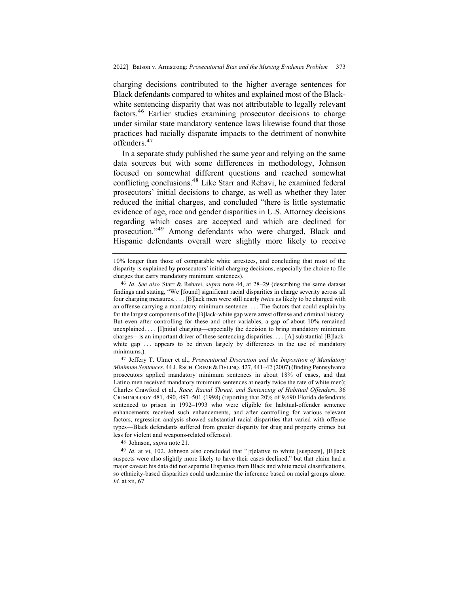charging decisions contributed to the higher average sentences for Black defendants compared to whites and explained most of the Blackwhite sentencing disparity that was not attributable to legally relevant factors.46 Earlier studies examining prosecutor decisions to charge under similar state mandatory sentence laws likewise found that those practices had racially disparate impacts to the detriment of nonwhite offenders.<sup>47</sup>

In a separate study published the same year and relying on the same data sources but with some differences in methodology, Johnson focused on somewhat different questions and reached somewhat conflicting conclusions.48 Like Starr and Rehavi, he examined federal prosecutors' initial decisions to charge, as well as whether they later reduced the initial charges, and concluded "there is little systematic evidence of age, race and gender disparities in U.S. Attorney decisions regarding which cases are accepted and which are declined for prosecution."<sup>49</sup> Among defendants who were charged, Black and Hispanic defendants overall were slightly more likely to receive

<sup>10%</sup> longer than those of comparable white arrestees, and concluding that most of the disparity is explained by prosecutors' initial charging decisions, especially the choice to file charges that carry mandatory minimum sentences).

<sup>46</sup> *Id. See also* Starr & Rehavi, *supra* note 44, at 28–29 (describing the same dataset findings and stating, "We [found] significant racial disparities in charge severity across all four charging measures. . . . [B]lack men were still nearly *twice* as likely to be charged with an offense carrying a mandatory minimum sentence. . . . The factors that could explain by far the largest components of the [B]lack-white gap were arrest offense and criminal history. But even after controlling for these and other variables, a gap of about 10% remained unexplained. . . . [I]nitial charging—especially the decision to bring mandatory minimum charges—is an important driver of these sentencing disparities. . . . [A] substantial [B]lackwhite gap  $\ldots$  appears to be driven largely by differences in the use of mandatory minimums.).

<sup>47</sup> Jeffery T. Ulmer et al., *Prosecutorial Discretion and the Imposition of Mandatory Minimum Sentences*, 44 J.RSCH.CRIME & DELINQ. 427, 441–42 (2007) (finding Pennsylvania prosecutors applied mandatory minimum sentences in about 18% of cases, and that Latino men received mandatory minimum sentences at nearly twice the rate of white men); Charles Crawford et al., *Race, Racial Threat, and Sentencing of Habitual Offenders*, 36 CRIMINOLOGY 481, 490, 497–501 (1998) (reporting that 20% of 9,690 Florida defendants sentenced to prison in 1992–1993 who were eligible for habitual-offender sentence enhancements received such enhancements, and after controlling for various relevant factors, regression analysis showed substantial racial disparities that varied with offense types—Black defendants suffered from greater disparity for drug and property crimes but less for violent and weapons-related offenses).

<sup>48</sup> Johnson, *supra* note 21.

<sup>&</sup>lt;sup>49</sup> *Id.* at vi, 102. Johnson also concluded that "[r]elative to white [suspects], [B]lack suspects were also slightly more likely to have their cases declined," but that claim had a major caveat: his data did not separate Hispanics from Black and white racial classifications, so ethnicity-based disparities could undermine the inference based on racial groups alone. *Id.* at xii, 67.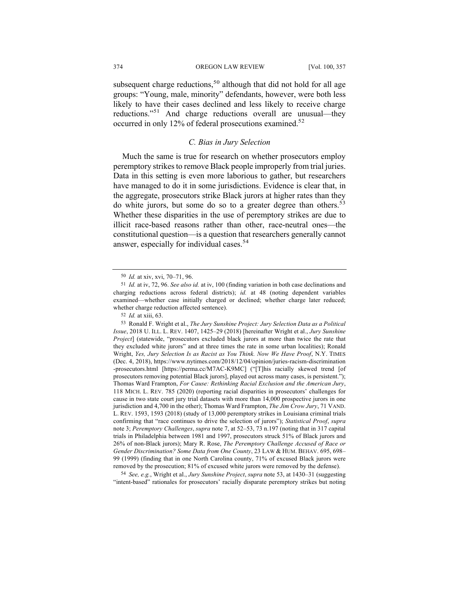subsequent charge reductions,<sup>50</sup> although that did not hold for all age groups: "Young, male, minority" defendants, however, were both less likely to have their cases declined and less likely to receive charge reductions."<sup>51</sup> And charge reductions overall are unusual—they occurred in only 12% of federal prosecutions examined.<sup>52</sup>

# *C. Bias in Jury Selection*

Much the same is true for research on whether prosecutors employ peremptory strikes to remove Black people improperly from trial juries. Data in this setting is even more laborious to gather, but researchers have managed to do it in some jurisdictions. Evidence is clear that, in the aggregate, prosecutors strike Black jurors at higher rates than they do white jurors, but some do so to a greater degree than others.<sup>53</sup> Whether these disparities in the use of peremptory strikes are due to illicit race-based reasons rather than other, race-neutral ones—the constitutional question—is a question that researchers generally cannot answer, especially for individual cases.<sup>54</sup>

54 *See, e.g.*, Wright et al., *Jury Sunshine Project*, *supra* note 53, at 1430–31 (suggesting "intent-based" rationales for prosecutors' racially disparate peremptory strikes but noting

<sup>50</sup> *Id.* at xiv, xvi, 70–71, 96.

<sup>51</sup> *Id.* at iv, 72, 96. *See also id.* at iv, 100 (finding variation in both case declinations and charging reductions across federal districts); *id.* at 48 (noting dependent variables examined—whether case initially charged or declined; whether charge later reduced; whether charge reduction affected sentence).

<sup>52</sup> *Id.* at xiii, 63.

<sup>53</sup> Ronald F. Wright et al., *The Jury Sunshine Project: Jury Selection Data as a Political Issue*, 2018 U. ILL. L. REV. 1407, 1425–29 (2018) [hereinafter Wright et al., *Jury Sunshine Project*] (statewide, "prosecutors excluded black jurors at more than twice the rate that they excluded white jurors" and at three times the rate in some urban localities); Ronald Wright, *Yes, Jury Selection Is as Racist as You Think. Now We Have Proof*, N.Y. TIMES (Dec. 4, 2018), https://www.nytimes.com/2018/12/04/opinion/juries-racism-discrimination -prosecutors.html [https://perma.cc/M7AC-K9MC] ("[T]his racially skewed trend [of prosecutors removing potential Black jurors], played out across many cases, is persistent."); Thomas Ward Frampton, *For Cause: Rethinking Racial Exclusion and the American Jury*, 118 MICH. L. REV. 785 (2020) (reporting racial disparities in prosecutors' challenges for cause in two state court jury trial datasets with more than 14,000 prospective jurors in one jurisdiction and 4,700 in the other); Thomas Ward Frampton, *The Jim Crow Jury*, 71 VAND. L. REV. 1593, 1593 (2018) (study of 13,000 peremptory strikes in Louisiana criminal trials confirming that "race continues to drive the selection of jurors"); *Statistical Proof*, *supra* note 3; *Peremptory Challenges*, *supra* note 7, at 52–53, 73 n.197 (noting that in 317 capital trials in Philadelphia between 1981 and 1997, prosecutors struck 51% of Black jurors and 26% of non-Black jurors); Mary R. Rose, *The Peremptory Challenge Accused of Race or Gender Discrimination? Some Data from One County*, 23 LAW & HUM. BEHAV. 695, 698– 99 (1999) (finding that in one North Carolina county, 71% of excused Black jurors were removed by the prosecution; 81% of excused white jurors were removed by the defense).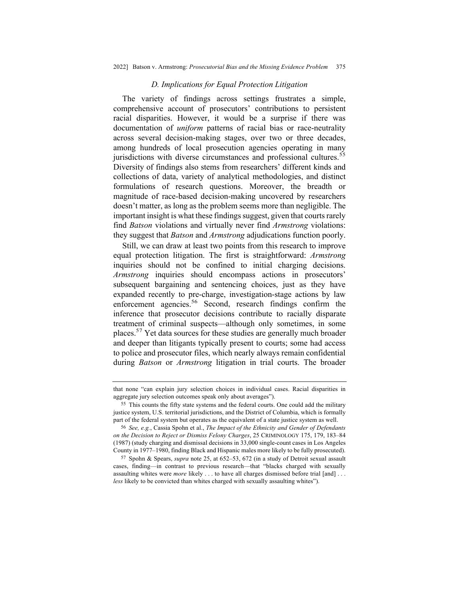#### *D. Implications for Equal Protection Litigation*

The variety of findings across settings frustrates a simple, comprehensive account of prosecutors' contributions to persistent racial disparities. However, it would be a surprise if there was documentation of *uniform* patterns of racial bias or race-neutrality across several decision-making stages, over two or three decades, among hundreds of local prosecution agencies operating in many jurisdictions with diverse circumstances and professional cultures.<sup>55</sup> Diversity of findings also stems from researchers' different kinds and collections of data, variety of analytical methodologies, and distinct formulations of research questions. Moreover, the breadth or magnitude of race-based decision-making uncovered by researchers doesn't matter, as long as the problem seems more than negligible. The important insight is what these findings suggest, given that courts rarely find *Batson* violations and virtually never find *Armstrong* violations: they suggest that *Batson* and *Armstrong* adjudications function poorly.

Still, we can draw at least two points from this research to improve equal protection litigation. The first is straightforward: *Armstrong* inquiries should not be confined to initial charging decisions. *Armstrong* inquiries should encompass actions in prosecutors' subsequent bargaining and sentencing choices, just as they have expanded recently to pre-charge, investigation-stage actions by law enforcement agencies.<sup>56</sup> Second, research findings confirm the inference that prosecutor decisions contribute to racially disparate treatment of criminal suspects—although only sometimes, in some places.57 Yet data sources for these studies are generally much broader and deeper than litigants typically present to courts; some had access to police and prosecutor files, which nearly always remain confidential during *Batson* or *Armstrong* litigation in trial courts. The broader

that none "can explain jury selection choices in individual cases. Racial disparities in aggregate jury selection outcomes speak only about averages").

<sup>55</sup> This counts the fifty state systems and the federal courts. One could add the military justice system, U.S. territorial jurisdictions, and the District of Columbia, which is formally part of the federal system but operates as the equivalent of a state justice system as well.

<sup>56</sup> *See, e.g.*, Cassia Spohn et al., *The Impact of the Ethnicity and Gender of Defendants on the Decision to Reject or Dismiss Felony Charges*, 25 CRIMINOLOGY 175, 179, 183–84 (1987) (study charging and dismissal decisions in 33,000 single-count cases in Los Angeles County in 1977–1980, finding Black and Hispanic males more likely to be fully prosecuted).

<sup>57</sup> Spohn & Spears, *supra* note 25, at 652–53, 672 (in a study of Detroit sexual assault cases, finding—in contrast to previous research—that "blacks charged with sexually assaulting whites were *more* likely . . . to have all charges dismissed before trial [and] . . . *less* likely to be convicted than whites charged with sexually assaulting whites").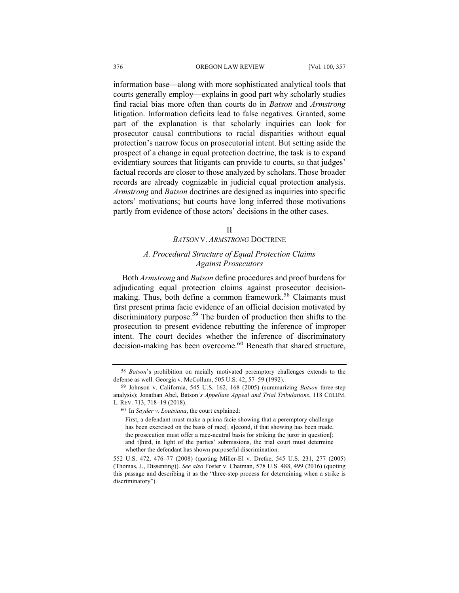information base—along with more sophisticated analytical tools that courts generally employ—explains in good part why scholarly studies find racial bias more often than courts do in *Batson* and *Armstrong* litigation. Information deficits lead to false negatives. Granted, some part of the explanation is that scholarly inquiries can look for prosecutor causal contributions to racial disparities without equal protection's narrow focus on prosecutorial intent. But setting aside the prospect of a change in equal protection doctrine, the task is to expand evidentiary sources that litigants can provide to courts, so that judges' factual records are closer to those analyzed by scholars. Those broader records are already cognizable in judicial equal protection analysis. *Armstrong* and *Batson* doctrines are designed as inquiries into specific actors' motivations; but courts have long inferred those motivations partly from evidence of those actors' decisions in the other cases.

#### II

#### *BATSON* V. *ARMSTRONG* DOCTRINE

# *A. Procedural Structure of Equal Protection Claims Against Prosecutors*

Both *Armstrong* and *Batson* define procedures and proof burdens for adjudicating equal protection claims against prosecutor decisionmaking. Thus, both define a common framework.<sup>58</sup> Claimants must first present prima facie evidence of an official decision motivated by discriminatory purpose.<sup>59</sup> The burden of production then shifts to the prosecution to present evidence rebutting the inference of improper intent. The court decides whether the inference of discriminatory decision-making has been overcome.<sup>60</sup> Beneath that shared structure,

<sup>58</sup> *Batson*'s prohibition on racially motivated peremptory challenges extends to the defense as well. Georgia v. McCollum, 505 U.S. 42, 57–59 (1992).

<sup>59</sup> Johnson v. California, 545 U.S. 162, 168 (2005) (summarizing *Batson* three-step analysis); Jonathan Abel, Batson*'s Appellate Appeal and Trial Tribulations*, 118 COLUM. L. REV. 713, 718–19 (2018).

<sup>60</sup> In *Snyder v. Louisiana*, the court explained:

First, a defendant must make a prima facie showing that a peremptory challenge has been exercised on the basis of race[; s]econd, if that showing has been made, the prosecution must offer a race-neutral basis for striking the juror in question[; and t]hird, in light of the parties' submissions, the trial court must determine whether the defendant has shown purposeful discrimination.

<sup>552</sup> U.S. 472, 476–77 (2008) (quoting Miller-El v. Dretke, 545 U.S. 231, 277 (2005) (Thomas, J., Dissenting)). *See also* Foster v. Chatman, 578 U.S. 488, 499 (2016) (quoting this passage and describing it as the "three-step process for determining when a strike is discriminatory").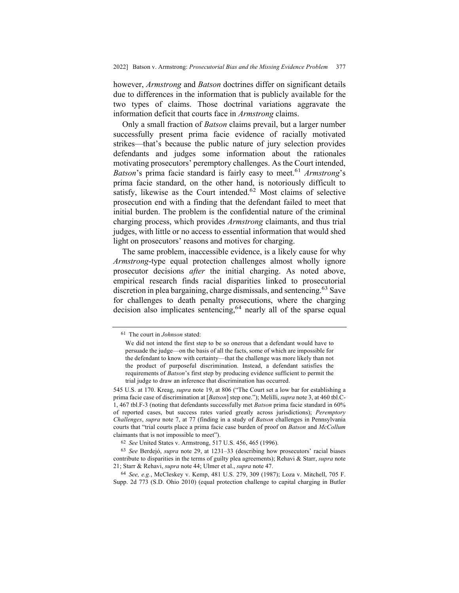however, *Armstrong* and *Batson* doctrines differ on significant details due to differences in the information that is publicly available for the two types of claims. Those doctrinal variations aggravate the information deficit that courts face in *Armstrong* claims.

Only a small fraction of *Batson* claims prevail, but a larger number successfully present prima facie evidence of racially motivated strikes—that's because the public nature of jury selection provides defendants and judges some information about the rationales motivating prosecutors' peremptory challenges. As the Court intended, *Batson*'s prima facie standard is fairly easy to meet.<sup>61</sup> *Armstrong*'s prima facie standard, on the other hand, is notoriously difficult to satisfy, likewise as the Court intended.<sup>62</sup> Most claims of selective prosecution end with a finding that the defendant failed to meet that initial burden. The problem is the confidential nature of the criminal charging process, which provides *Armstrong* claimants, and thus trial judges, with little or no access to essential information that would shed light on prosecutors' reasons and motives for charging.

The same problem, inaccessible evidence, is a likely cause for why *Armstrong*-type equal protection challenges almost wholly ignore prosecutor decisions *after* the initial charging. As noted above, empirical research finds racial disparities linked to prosecutorial discretion in plea bargaining, charge dismissals, and sentencing.<sup>63</sup> Save for challenges to death penalty prosecutions, where the charging decision also implicates sentencing,  $64$  nearly all of the sparse equal

<sup>61</sup> The court in *Johnson* stated:

We did not intend the first step to be so onerous that a defendant would have to persuade the judge—on the basis of all the facts, some of which are impossible for the defendant to know with certainty—that the challenge was more likely than not the product of purposeful discrimination. Instead, a defendant satisfies the requirements of *Batson*'s first step by producing evidence sufficient to permit the trial judge to draw an inference that discrimination has occurred.

<sup>545</sup> U.S. at 170. Kreag, *supra* note 19, at 806 ("The Court set a low bar for establishing a prima facie case of discrimination at [*Batson*] step one."); Melilli, *supra* note 3, at 460 tbl.C-1, 467 tbl.F-3 (noting that defendants successfully met *Batson* prima facie standard in 60% of reported cases, but success rates varied greatly across jurisdictions); *Peremptory Challenges*, *supra* note 7, at 77 (finding in a study of *Batson* challenges in Pennsylvania courts that "trial courts place a prima facie case burden of proof on *Batson* and *McCollum* claimants that is not impossible to meet").

<sup>62</sup> *See* United States v. Armstrong, 517 U.S. 456, 465 (1996).

<sup>63</sup> *See* Berdejó, *supra* note 29, at 1231–33 (describing how prosecutors' racial biases contribute to disparities in the terms of guilty plea agreements); Rehavi & Starr, *supra* note 21; Starr & Rehavi, *supra* note 44; Ulmer et al., *supra* note 47.

<sup>64</sup> *See, e.g.*, McCleskey v. Kemp, 481 U.S. 279, 309 (1987); Loza v. Mitchell, 705 F. Supp. 2d 773 (S.D. Ohio 2010) (equal protection challenge to capital charging in Butler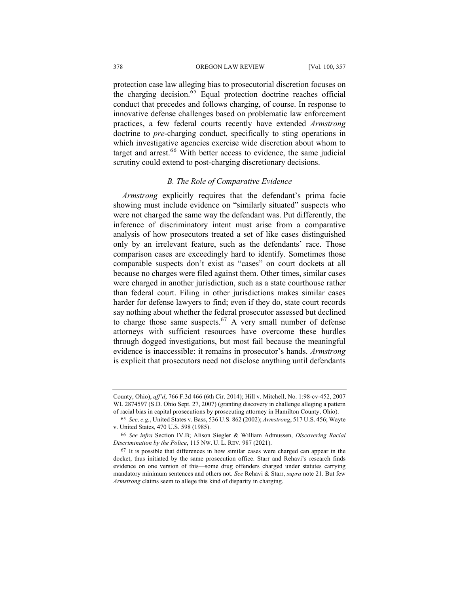protection case law alleging bias to prosecutorial discretion focuses on the charging decision.<sup>65</sup> Equal protection doctrine reaches official conduct that precedes and follows charging, of course. In response to innovative defense challenges based on problematic law enforcement practices, a few federal courts recently have extended *Armstrong* doctrine to *pre*-charging conduct, specifically to sting operations in which investigative agencies exercise wide discretion about whom to target and arrest. $66$  With better access to evidence, the same judicial scrutiny could extend to post-charging discretionary decisions.

## *B. The Role of Comparative Evidence*

*Armstrong* explicitly requires that the defendant's prima facie showing must include evidence on "similarly situated" suspects who were not charged the same way the defendant was. Put differently, the inference of discriminatory intent must arise from a comparative analysis of how prosecutors treated a set of like cases distinguished only by an irrelevant feature, such as the defendants' race. Those comparison cases are exceedingly hard to identify. Sometimes those comparable suspects don't exist as "cases" on court dockets at all because no charges were filed against them. Other times, similar cases were charged in another jurisdiction, such as a state courthouse rather than federal court. Filing in other jurisdictions makes similar cases harder for defense lawyers to find; even if they do, state court records say nothing about whether the federal prosecutor assessed but declined to charge those same suspects.<sup>67</sup> A very small number of defense attorneys with sufficient resources have overcome these hurdles through dogged investigations, but most fail because the meaningful evidence is inaccessible: it remains in prosecutor's hands. *Armstrong*  is explicit that prosecutors need not disclose anything until defendants

County, Ohio), *aff'd*, 766 F.3d 466 (6th Cir. 2014); Hill v. Mitchell, No. 1:98-cv-452, 2007 WL 2874597 (S.D. Ohio Sept. 27, 2007) (granting discovery in challenge alleging a pattern of racial bias in capital prosecutions by prosecuting attorney in Hamilton County, Ohio).

<sup>65</sup> *See, e.g.*, United States v. Bass, 536 U.S. 862 (2002); *Armstrong*, 517 U.S. 456; Wayte v. United States, 470 U.S. 598 (1985).

<sup>66</sup> *See infra* Section IV.B; Alison Siegler & William Admussen, *Discovering Racial Discrimination by the Police*, 115 NW. U. L. REV. 987 (2021).

<sup>67</sup> It is possible that differences in how similar cases were charged can appear in the docket, thus initiated by the same prosecution office. Starr and Rehavi's research finds evidence on one version of this—some drug offenders charged under statutes carrying mandatory minimum sentences and others not. *See* Rehavi & Starr, *supra* note 21. But few *Armstrong* claims seem to allege this kind of disparity in charging.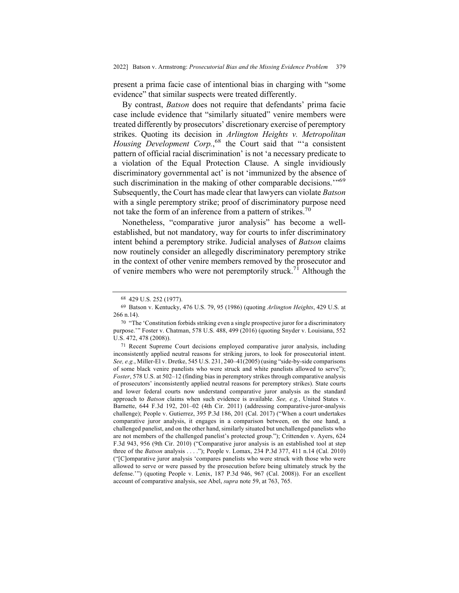present a prima facie case of intentional bias in charging with "some evidence" that similar suspects were treated differently.

By contrast, *Batson* does not require that defendants' prima facie case include evidence that "similarly situated" venire members were treated differently by prosecutors' discretionary exercise of peremptory strikes. Quoting its decision in *Arlington Heights v. Metropolitan Housing Development Corp.*, <sup>68</sup> the Court said that "'a consistent pattern of official racial discrimination' is not 'a necessary predicate to a violation of the Equal Protection Clause. A single invidiously discriminatory governmental act' is not 'immunized by the absence of such discrimination in the making of other comparable decisions."<sup>69</sup> Subsequently, the Court has made clear that lawyers can violate *Batson*  with a single peremptory strike; proof of discriminatory purpose need not take the form of an inference from a pattern of strikes.<sup>70</sup>

Nonetheless, "comparative juror analysis" has become a wellestablished, but not mandatory, way for courts to infer discriminatory intent behind a peremptory strike. Judicial analyses of *Batson* claims now routinely consider an allegedly discriminatory peremptory strike in the context of other venire members removed by the prosecutor and of venire members who were not peremptorily struck.<sup>71</sup> Although the

<sup>68</sup> 429 U.S. 252 (1977).

<sup>69</sup> Batson v. Kentucky, 476 U.S. 79, 95 (1986) (quoting *Arlington Heights*, 429 U.S. at 266 n.14).

<sup>70</sup> "The 'Constitution forbids striking even a single prospective juror for a discriminatory purpose.'" Foster v. Chatman, 578 U.S. 488, 499 (2016) (quoting Snyder v. Louisiana, 552 U.S. 472, 478 (2008)).

<sup>71</sup> Recent Supreme Court decisions employed comparative juror analysis, including inconsistently applied neutral reasons for striking jurors, to look for prosecutorial intent. *See, e.g.*, Miller-El v. Dretke, 545 U.S. 231, 240–41(2005) (using "side-by-side comparisons of some black venire panelists who were struck and white panelists allowed to serve"); *Foster*, 578 U.S. at 502–12 (finding bias in peremptory strikes through comparative analysis of prosecutors' inconsistently applied neutral reasons for peremptory strikes). State courts and lower federal courts now understand comparative juror analysis as the standard approach to *Batson* claims when such evidence is available. *See, e.g.*, United States v. Barnette, 644 F.3d 192, 201–02 (4th Cir. 2011) (addressing comparative-juror-analysis challenge); People v. Gutierrez, 395 P.3d 186, 201 (Cal. 2017) ("When a court undertakes comparative juror analysis, it engages in a comparison between, on the one hand, a challenged panelist, and on the other hand, similarly situated but unchallenged panelists who are not members of the challenged panelist's protected group."); Crittenden v. Ayers, 624 F.3d 943, 956 (9th Cir. 2010) ("Comparative juror analysis is an established tool at step three of the *Batson* analysis . . . ."); People v. Lomax, 234 P.3d 377, 411 n.14 (Cal. 2010) ("[C]omparative juror analysis 'compares panelists who were struck with those who were allowed to serve or were passed by the prosecution before being ultimately struck by the defense."") (quoting People v. Lenix, 187 P.3d 946, 967 (Cal. 2008)). For an excellent account of comparative analysis, see Abel, *supra* note 59, at 763, 765.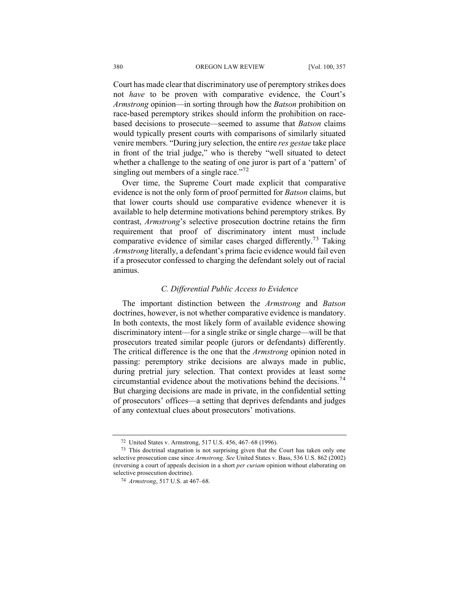Court has made clear that discriminatory use of peremptory strikes does not *have* to be proven with comparative evidence, the Court's *Armstrong* opinion—in sorting through how the *Batson* prohibition on race-based peremptory strikes should inform the prohibition on racebased decisions to prosecute—seemed to assume that *Batson* claims would typically present courts with comparisons of similarly situated venire members. "During jury selection, the entire *res gestae* take place in front of the trial judge," who is thereby "well situated to detect whether a challenge to the seating of one juror is part of a 'pattern' of singling out members of a single race." $72$ 

Over time, the Supreme Court made explicit that comparative evidence is not the only form of proof permitted for *Batson* claims, but that lower courts should use comparative evidence whenever it is available to help determine motivations behind peremptory strikes. By contrast, *Armstrong*'s selective prosecution doctrine retains the firm requirement that proof of discriminatory intent must include comparative evidence of similar cases charged differently.<sup>73</sup> Taking *Armstrong* literally, a defendant's prima facie evidence would fail even if a prosecutor confessed to charging the defendant solely out of racial animus.

## *C. Differential Public Access to Evidence*

The important distinction between the *Armstrong* and *Batson*  doctrines, however, is not whether comparative evidence is mandatory. In both contexts, the most likely form of available evidence showing discriminatory intent—for a single strike or single charge—will be that prosecutors treated similar people (jurors or defendants) differently. The critical difference is the one that the *Armstrong* opinion noted in passing: peremptory strike decisions are always made in public, during pretrial jury selection. That context provides at least some circumstantial evidence about the motivations behind the decisions.<sup>74</sup> But charging decisions are made in private, in the confidential setting of prosecutors' offices—a setting that deprives defendants and judges of any contextual clues about prosecutors' motivations.

<sup>72</sup> United States v. Armstrong, 517 U.S. 456, 467–68 (1996).

<sup>73</sup> This doctrinal stagnation is not surprising given that the Court has taken only one selective prosecution case since *Armstrong*. *See* United States v. Bass, 536 U.S. 862 (2002) (reversing a court of appeals decision in a short *per curiam* opinion without elaborating on selective prosecution doctrine).

<sup>74</sup> *Armstrong*, 517 U.S. at 467–68.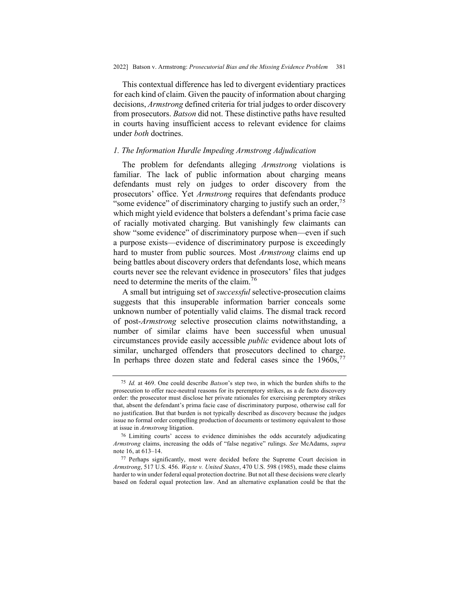This contextual difference has led to divergent evidentiary practices for each kind of claim. Given the paucity of information about charging decisions, *Armstrong* defined criteria for trial judges to order discovery from prosecutors. *Batson* did not. These distinctive paths have resulted in courts having insufficient access to relevant evidence for claims under *both* doctrines.

# *1. The Information Hurdle Impeding Armstrong Adjudication*

The problem for defendants alleging *Armstrong* violations is familiar. The lack of public information about charging means defendants must rely on judges to order discovery from the prosecutors' office. Yet *Armstrong* requires that defendants produce "some evidence" of discriminatory charging to justify such an order, $\frac{75}{2}$ which might yield evidence that bolsters a defendant's prima facie case of racially motivated charging. But vanishingly few claimants can show "some evidence" of discriminatory purpose when—even if such a purpose exists—evidence of discriminatory purpose is exceedingly hard to muster from public sources. Most *Armstrong* claims end up being battles about discovery orders that defendants lose, which means courts never see the relevant evidence in prosecutors' files that judges need to determine the merits of the claim.<sup>76</sup>

A small but intriguing set of *successful* selective-prosecution claims suggests that this insuperable information barrier conceals some unknown number of potentially valid claims. The dismal track record of post-*Armstrong* selective prosecution claims notwithstanding, a number of similar claims have been successful when unusual circumstances provide easily accessible *public* evidence about lots of similar, uncharged offenders that prosecutors declined to charge. In perhaps three dozen state and federal cases since the  $1960s$ ,  $77$ 

<sup>75</sup> *Id.* at 469. One could describe *Batson*'s step two, in which the burden shifts to the prosecution to offer race-neutral reasons for its peremptory strikes, as a de facto discovery order: the prosecutor must disclose her private rationales for exercising peremptory strikes that, absent the defendant's prima facie case of discriminatory purpose, otherwise call for no justification. But that burden is not typically described as discovery because the judges issue no formal order compelling production of documents or testimony equivalent to those at issue in *Armstrong* litigation.

<sup>76</sup> Limiting courts' access to evidence diminishes the odds accurately adjudicating *Armstrong* claims, increasing the odds of "false negative" rulings. *See* McAdams, *supra*  note 16, at 613–14.

<sup>77</sup> Perhaps significantly, most were decided before the Supreme Court decision in *Armstrong*, 517 U.S. 456. *Wayte v. United States*, 470 U.S. 598 (1985), made these claims harder to win under federal equal protection doctrine. But not all these decisions were clearly based on federal equal protection law. And an alternative explanation could be that the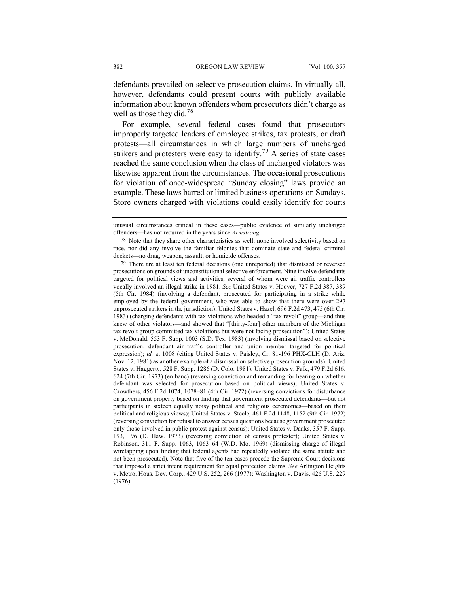defendants prevailed on selective prosecution claims. In virtually all, however, defendants could present courts with publicly available information about known offenders whom prosecutors didn't charge as well as those they did.<sup>78</sup>

For example, several federal cases found that prosecutors improperly targeted leaders of employee strikes, tax protests, or draft protests—all circumstances in which large numbers of uncharged strikers and protesters were easy to identify.<sup>79</sup> A series of state cases reached the same conclusion when the class of uncharged violators was likewise apparent from the circumstances. The occasional prosecutions for violation of once-widespread "Sunday closing" laws provide an example. These laws barred or limited business operations on Sundays. Store owners charged with violations could easily identify for courts

unusual circumstances critical in these cases—public evidence of similarly uncharged offenders—has not recurred in the years since *Armstrong*.

<sup>78</sup> Note that they share other characteristics as well: none involved selectivity based on race, nor did any involve the familiar felonies that dominate state and federal criminal dockets—no drug, weapon, assault, or homicide offenses.

<sup>79</sup> There are at least ten federal decisions (one unreported) that dismissed or reversed prosecutions on grounds of unconstitutional selective enforcement. Nine involve defendants targeted for political views and activities, several of whom were air traffic controllers vocally involved an illegal strike in 1981. *See* United States v. Hoover, 727 F.2d 387, 389 (5th Cir. 1984) (involving a defendant, prosecuted for participating in a strike while employed by the federal government, who was able to show that there were over 297 unprosecuted strikers in the jurisdiction); United States v. Hazel, 696 F.2d 473, 475 (6th Cir. 1983) (charging defendants with tax violations who headed a "tax revolt" group—and thus knew of other violators—and showed that "[thirty-four] other members of the Michigan tax revolt group committed tax violations but were not facing prosecution"); United States v. McDonald, 553 F. Supp. 1003 (S.D. Tex. 1983) (involving dismissal based on selective prosecution; defendant air traffic controller and union member targeted for political expression); *id.* at 1008 (citing United States v. Paisley, Cr. 81-196 PHX-CLH (D. Ariz. Nov. 12, 1981) as another example of a dismissal on selective prosecution grounds); United States v. Haggerty, 528 F. Supp. 1286 (D. Colo. 1981); United States v. Falk, 479 F.2d 616, 624 (7th Cir. 1973) (en banc) (reversing conviction and remanding for hearing on whether defendant was selected for prosecution based on political views); United States v. Crowthers, 456 F.2d 1074, 1078–81 (4th Cir. 1972) (reversing convictions for disturbance on government property based on finding that government prosecuted defendants—but not participants in sixteen equally noisy political and religious ceremonies—based on their political and religious views); United States v. Steele, 461 F.2d 1148, 1152 (9th Cir. 1972) (reversing conviction for refusal to answer census questions because government prosecuted only those involved in public protest against census); United States v. Danks, 357 F. Supp. 193, 196 (D. Haw. 1973) (reversing conviction of census protester); United States v. Robinson, 311 F. Supp. 1063, 1063–64 (W.D. Mo. 1969) (dismissing charge of illegal wiretapping upon finding that federal agents had repeatedly violated the same statute and not been prosecuted). Note that five of the ten cases precede the Supreme Court decisions that imposed a strict intent requirement for equal protection claims. *See* Arlington Heights v. Metro. Hous. Dev. Corp., 429 U.S. 252, 266 (1977); Washington v. Davis, 426 U.S. 229 (1976).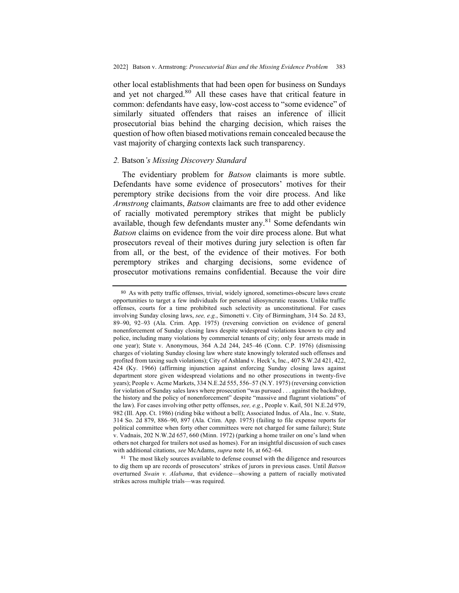other local establishments that had been open for business on Sundays and yet not charged.<sup>80</sup> All these cases have that critical feature in common: defendants have easy, low-cost access to "some evidence" of similarly situated offenders that raises an inference of illicit prosecutorial bias behind the charging decision, which raises the question of how often biased motivations remain concealed because the vast majority of charging contexts lack such transparency.

## *2.* Batson*'s Missing Discovery Standard*

The evidentiary problem for *Batson* claimants is more subtle. Defendants have some evidence of prosecutors' motives for their peremptory strike decisions from the voir dire process. And like *Armstrong* claimants, *Batson* claimants are free to add other evidence of racially motivated peremptory strikes that might be publicly available, though few defendants muster any.<sup>81</sup> Some defendants win *Batson* claims on evidence from the voir dire process alone. But what prosecutors reveal of their motives during jury selection is often far from all, or the best, of the evidence of their motives. For both peremptory strikes and charging decisions, some evidence of prosecutor motivations remains confidential. Because the voir dire

<sup>80</sup> As with petty traffic offenses, trivial, widely ignored, sometimes-obscure laws create opportunities to target a few individuals for personal idiosyncratic reasons. Unlike traffic offenses, courts for a time prohibited such selectivity as unconstitutional. For cases involving Sunday closing laws, *see, e.g.*, Simonetti v. City of Birmingham, 314 So. 2d 83, 89–90, 92–93 (Ala. Crim. App. 1975) (reversing conviction on evidence of general nonenforcement of Sunday closing laws despite widespread violations known to city and police, including many violations by commercial tenants of city; only four arrests made in one year); State v. Anonymous, 364 A.2d 244, 245–46 (Conn. C.P. 1976) (dismissing charges of violating Sunday closing law where state knowingly tolerated such offenses and profited from taxing such violations); City of Ashland v. Heck's, Inc., 407 S.W.2d 421, 422, 424 (Ky. 1966) (affirming injunction against enforcing Sunday closing laws against department store given widespread violations and no other prosecutions in twenty-five years); People v. Acme Markets, 334 N.E.2d 555, 556–57 (N.Y. 1975) (reversing conviction for violation of Sunday sales laws where prosecution "was pursued . . . against the backdrop, the history and the policy of nonenforcement" despite "massive and flagrant violations" of the law). For cases involving other petty offenses, *see, e.g.*, People v. Kail, 501 N.E.2d 979, 982 (Ill. App. Ct. 1986) (riding bike without a bell); Associated Indus. of Ala., Inc. v. State, 314 So. 2d 879, 886–90, 897 (Ala. Crim. App. 1975) (failing to file expense reports for political committee when forty other committees were not charged for same failure); State v. Vadnais, 202 N.W.2d 657, 660 (Minn. 1972) (parking a home trailer on one's land when others not charged for trailers not used as homes). For an insightful discussion of such cases with additional citations, *see* McAdams, *supra* note 16, at 662–64.

<sup>81</sup> The most likely sources available to defense counsel with the diligence and resources to dig them up are records of prosecutors' strikes of jurors in previous cases. Until *Batson*  overturned *Swain v. Alabama*, that evidence—showing a pattern of racially motivated strikes across multiple trials—was required.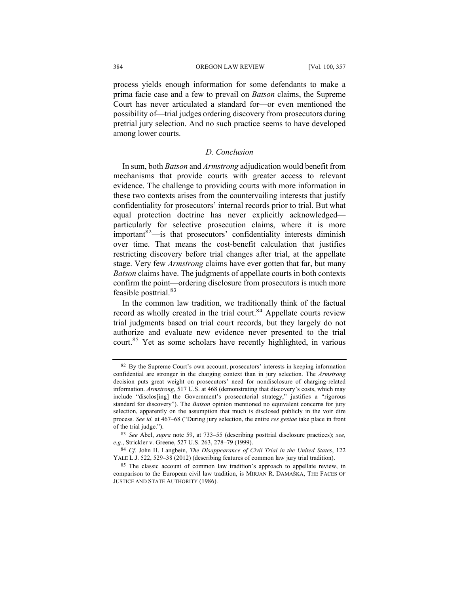process yields enough information for some defendants to make a prima facie case and a few to prevail on *Batson* claims, the Supreme Court has never articulated a standard for—or even mentioned the possibility of—trial judges ordering discovery from prosecutors during pretrial jury selection. And no such practice seems to have developed among lower courts.

# *D. Conclusion*

In sum, both *Batson* and *Armstrong* adjudication would benefit from mechanisms that provide courts with greater access to relevant evidence. The challenge to providing courts with more information in these two contexts arises from the countervailing interests that justify confidentiality for prosecutors' internal records prior to trial. But what equal protection doctrine has never explicitly acknowledged particularly for selective prosecution claims, where it is more important<sup>82</sup>—is that prosecutors' confidentiality interests diminish over time. That means the cost-benefit calculation that justifies restricting discovery before trial changes after trial, at the appellate stage. Very few *Armstrong* claims have ever gotten that far, but many *Batson* claims have. The judgments of appellate courts in both contexts confirm the point—ordering disclosure from prosecutors is much more feasible posttrial.<sup>83</sup>

In the common law tradition, we traditionally think of the factual record as wholly created in the trial court.<sup>84</sup> Appellate courts review trial judgments based on trial court records, but they largely do not authorize and evaluate new evidence never presented to the trial court.<sup>85</sup> Yet as some scholars have recently highlighted, in various

<sup>82</sup> By the Supreme Court's own account, prosecutors' interests in keeping information confidential are stronger in the charging context than in jury selection. The *Armstrong*  decision puts great weight on prosecutors' need for nondisclosure of charging-related information. *Armstrong*, 517 U.S. at 468 (demonstrating that discovery's costs, which may include "disclos[ing] the Government's prosecutorial strategy," justifies a "rigorous standard for discovery"). The *Batson* opinion mentioned no equivalent concerns for jury selection, apparently on the assumption that much is disclosed publicly in the voir dire process. *See id.* at 467–68 ("During jury selection, the entire *res gestae* take place in front of the trial judge.").

<sup>83</sup> *See* Abel, *supra* note 59, at 733–55 (describing posttrial disclosure practices); *see, e.g.*, Strickler v. Greene, 527 U.S. 263, 278–79 (1999).

<sup>84</sup> *Cf.* John H. Langbein, *The Disappearance of Civil Trial in the United States*, 122 YALE L.J. 522, 529–38 (2012) (describing features of common law jury trial tradition).

<sup>85</sup> The classic account of common law tradition's approach to appellate review, in comparison to the European civil law tradition, is MIRJAN R. DAMAŠKA, THE FACES OF JUSTICE AND STATE AUTHORITY (1986).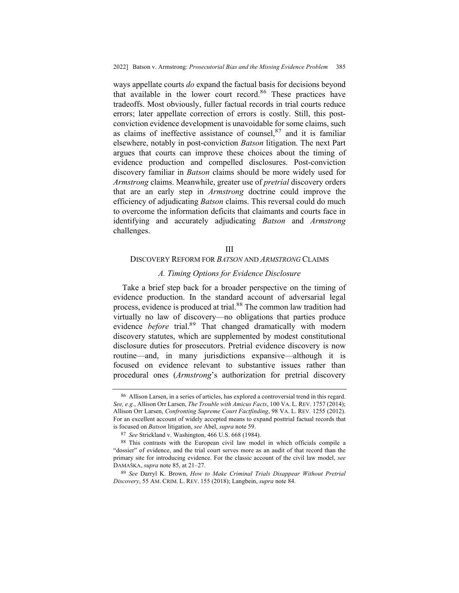ways appellate courts *do* expand the factual basis for decisions beyond that available in the lower court record.<sup>86</sup> These practices have tradeoffs. Most obviously, fuller factual records in trial courts reduce errors; later appellate correction of errors is costly. Still, this postconviction evidence development is unavoidable for some claims, such as claims of ineffective assistance of counsel,  $87$  and it is familiar elsewhere, notably in post-conviction *Batson* litigation. The next Part argues that courts can improve these choices about the timing of evidence production and compelled disclosures. Post-conviction discovery familiar in *Batson* claims should be more widely used for *Armstrong* claims. Meanwhile, greater use of *pretrial* discovery orders that are an early step in *Armstrong* doctrine could improve the efficiency of adjudicating *Batson* claims. This reversal could do much to overcome the information deficits that claimants and courts face in identifying and accurately adjudicating *Batson* and *Armstrong*  challenges.

#### III

## DISCOVERY REFORM FOR *BATSON* AND *ARMSTRONG* CLAIMS

#### *A. Timing Options for Evidence Disclosure*

Take a brief step back for a broader perspective on the timing of evidence production. In the standard account of adversarial legal process, evidence is produced at trial.<sup>88</sup> The common law tradition had virtually no law of discovery—no obligations that parties produce evidence *before* trial.<sup>89</sup> That changed dramatically with modern discovery statutes, which are supplemented by modest constitutional disclosure duties for prosecutors. Pretrial evidence discovery is now routine—and, in many jurisdictions expansive—although it is focused on evidence relevant to substantive issues rather than procedural ones (*Armstrong*'s authorization for pretrial discovery

<sup>86</sup> Allison Larsen, in a series of articles, has explored a controversial trend in this regard. *See, e.g.*, Allison Orr Larsen, *The Trouble with Amicus Facts*, 100 VA. L. REV. 1757 (2014); Allison Orr Larsen, *Confronting Supreme Court Factfinding*, 98 VA. L. REV. 1255 (2012). For an excellent account of widely accepted means to expand posttrial factual records that is focused on *Batson* litigation, *see* Abel, *supra* note 59.

<sup>87</sup> *See* Strickland v. Washington, 466 U.S. 668 (1984).

<sup>88</sup> This contrasts with the European civil law model in which officials compile a "dossier" of evidence, and the trial court serves more as an audit of that record than the primary site for introducing evidence. For the classic account of the civil law model, *see* DAMAŠKA, *supra* note 85, at 21–27.

<sup>89</sup> *See* Darryl K. Brown, *How to Make Criminal Trials Disappear Without Pretrial Discovery*, 55 AM. CRIM. L. REV. 155 (2018); Langbein, *supra* note 84.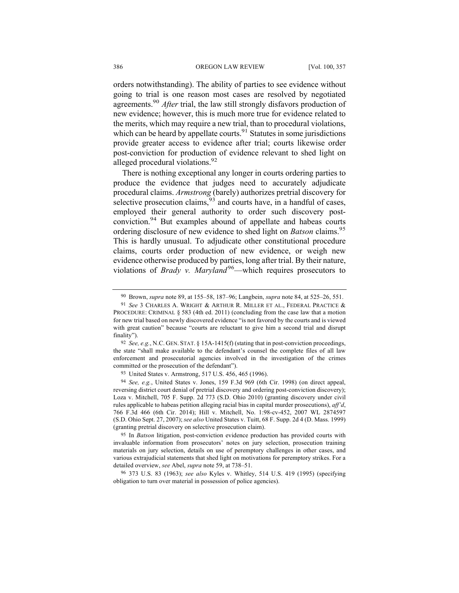orders notwithstanding). The ability of parties to see evidence without going to trial is one reason most cases are resolved by negotiated agreements.90 *After* trial, the law still strongly disfavors production of new evidence; however, this is much more true for evidence related to the merits, which may require a new trial, than to procedural violations, which can be heard by appellate courts. $91$  Statutes in some jurisdictions provide greater access to evidence after trial; courts likewise order post-conviction for production of evidence relevant to shed light on alleged procedural violations.<sup>92</sup>

There is nothing exceptional any longer in courts ordering parties to produce the evidence that judges need to accurately adjudicate procedural claims. *Armstrong* (barely) authorizes pretrial discovery for selective prosecution claims,  $93$  and courts have, in a handful of cases, employed their general authority to order such discovery postconviction.94 But examples abound of appellate and habeas courts ordering disclosure of new evidence to shed light on *Batson* claims.<sup>95</sup> This is hardly unusual. To adjudicate other constitutional procedure claims, courts order production of new evidence, or weigh new evidence otherwise produced by parties, long after trial. By their nature, violations of *Brady v. Maryland*<sup>96</sup>—which requires prosecutors to

<sup>90</sup> Brown, *supra* note 89, at 155–58, 187–96; Langbein, *supra* note 84, at 525–26, 551.

<sup>91</sup> *See* 3 CHARLES A. WRIGHT & ARTHUR R. MILLER ET AL., FEDERAL PRACTICE & PROCEDURE: CRIMINAL § 583 (4th ed. 2011) (concluding from the case law that a motion for new trial based on newly discovered evidence "is not favored by the courts and is viewed with great caution" because "courts are reluctant to give him a second trial and disrupt finality").

<sup>92</sup> *See, e.g.*, N.C. GEN. STAT. § 15A-1415(f) (stating that in post-conviction proceedings, the state "shall make available to the defendant's counsel the complete files of all law enforcement and prosecutorial agencies involved in the investigation of the crimes committed or the prosecution of the defendant").

<sup>93</sup> United States v. Armstrong, 517 U.S. 456, 465 (1996).

<sup>94</sup> *See, e.g.*, United States v. Jones, 159 F.3d 969 (6th Cir. 1998) (on direct appeal, reversing district court denial of pretrial discovery and ordering post-conviction discovery); Loza v. Mitchell, 705 F. Supp. 2d 773 (S.D. Ohio 2010) (granting discovery under civil rules applicable to habeas petition alleging racial bias in capital murder prosecutions), *aff'd*, 766 F.3d 466 (6th Cir. 2014); Hill v. Mitchell, No. 1:98-cv-452, 2007 WL 2874597 (S.D. Ohio Sept. 27, 2007); *see also* United States v. Tuitt, 68 F. Supp. 2d 4 (D. Mass. 1999) (granting pretrial discovery on selective prosecution claim).

<sup>95</sup> In *Batson* litigation, post-conviction evidence production has provided courts with invaluable information from prosecutors' notes on jury selection, prosecution training materials on jury selection, details on use of peremptory challenges in other cases, and various extrajudicial statements that shed light on motivations for peremptory strikes. For a detailed overview, *see* Abel, *supra* note 59, at 738–51.

<sup>96</sup> 373 U.S. 83 (1963); *see also* Kyles v. Whitley, 514 U.S. 419 (1995) (specifying obligation to turn over material in possession of police agencies).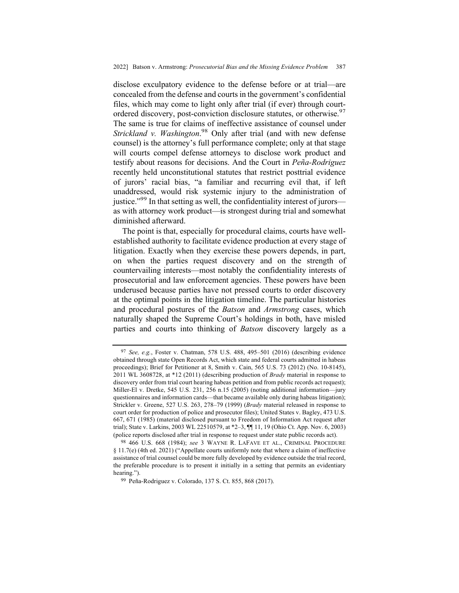disclose exculpatory evidence to the defense before or at trial—are concealed from the defense and courts in the government's confidential files, which may come to light only after trial (if ever) through courtordered discovery, post-conviction disclosure statutes, or otherwise. 97 The same is true for claims of ineffective assistance of counsel under *Strickland v. Washington*. <sup>98</sup> Only after trial (and with new defense counsel) is the attorney's full performance complete; only at that stage will courts compel defense attorneys to disclose work product and testify about reasons for decisions. And the Court in *Peña-Rodriguez* recently held unconstitutional statutes that restrict posttrial evidence of jurors' racial bias, "a familiar and recurring evil that, if left unaddressed, would risk systemic injury to the administration of justice."<sup>99</sup> In that setting as well, the confidentiality interest of jurors as with attorney work product—is strongest during trial and somewhat diminished afterward.

The point is that, especially for procedural claims, courts have wellestablished authority to facilitate evidence production at every stage of litigation. Exactly when they exercise these powers depends, in part, on when the parties request discovery and on the strength of countervailing interests—most notably the confidentiality interests of prosecutorial and law enforcement agencies. These powers have been underused because parties have not pressed courts to order discovery at the optimal points in the litigation timeline. The particular histories and procedural postures of the *Batson* and *Armstrong* cases, which naturally shaped the Supreme Court's holdings in both, have misled parties and courts into thinking of *Batson* discovery largely as a

<sup>97</sup> *See, e.g.*, Foster v. Chatman, 578 U.S. 488, 495–501 (2016) (describing evidence obtained through state Open Records Act, which state and federal courts admitted in habeas proceedings); Brief for Petitioner at 8, Smith v. Cain, 565 U.S. 73 (2012) (No. 10-8145), 2011 WL 3608728, at \*12 (2011) (describing production of *Brady* material in response to discovery order from trial court hearing habeas petition and from public records act request); Miller-El v. Dretke, 545 U.S. 231, 256 n.15 (2005) (noting additional information—jury questionnaires and information cards—that became available only during habeas litigation); Strickler v. Greene, 527 U.S. 263, 278–79 (1999) (*Brady* material released in response to court order for production of police and prosecutor files); United States v. Bagley, 473 U.S. 667, 671 (1985) (material disclosed pursuant to Freedom of Information Act request after trial); State v. Larkins, 2003 WL 22510579, at \*2–3, ¶¶ 11, 19 (Ohio Ct. App. Nov. 6, 2003) (police reports disclosed after trial in response to request under state public records act).

<sup>98</sup> 466 U.S. 668 (1984); *see* 3 WAYNE R. LAFAVE ET AL., CRIMINAL PROCEDURE § 11.7(e) (4th ed. 2021) ("Appellate courts uniformly note that where a claim of ineffective assistance of trial counsel could be more fully developed by evidence outside the trial record, the preferable procedure is to present it initially in a setting that permits an evidentiary hearing.").

<sup>99</sup> Peña-Rodriguez v. Colorado, 137 S. Ct. 855, 868 (2017).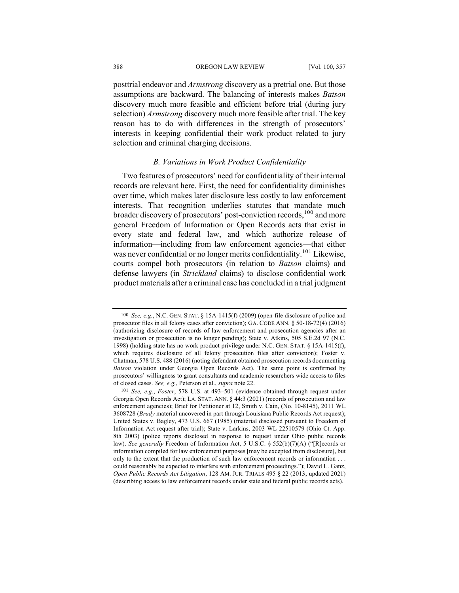posttrial endeavor and *Armstrong* discovery as a pretrial one. But those assumptions are backward. The balancing of interests makes *Batson*  discovery much more feasible and efficient before trial (during jury selection) *Armstrong* discovery much more feasible after trial. The key reason has to do with differences in the strength of prosecutors' interests in keeping confidential their work product related to jury selection and criminal charging decisions.

## *B. Variations in Work Product Confidentiality*

Two features of prosecutors' need for confidentiality of their internal records are relevant here. First, the need for confidentiality diminishes over time, which makes later disclosure less costly to law enforcement interests. That recognition underlies statutes that mandate much broader discovery of prosecutors' post-conviction records,<sup>100</sup> and more general Freedom of Information or Open Records acts that exist in every state and federal law, and which authorize release of information—including from law enforcement agencies—that either was never confidential or no longer merits confidentiality.<sup>101</sup> Likewise, courts compel both prosecutors (in relation to *Batson* claims) and defense lawyers (in *Strickland* claims) to disclose confidential work product materials after a criminal case has concluded in a trial judgment

<sup>100</sup> *See, e.g.*, N.C. GEN. STAT. § 15A-1415(f) (2009) (open-file disclosure of police and prosecutor files in all felony cases after conviction); GA. CODE ANN. § 50-18-72(4) (2016) (authorizing disclosure of records of law enforcement and prosecution agencies after an investigation or prosecution is no longer pending); State v. Atkins, 505 S.E.2d 97 (N.C. 1998) (holding state has no work product privilege under N.C. GEN. STAT. § 15A-1415(f), which requires disclosure of all felony prosecution files after conviction); Foster v. Chatman, 578 U.S. 488 (2016) (noting defendant obtained prosecution records documenting *Batson* violation under Georgia Open Records Act). The same point is confirmed by prosecutors' willingness to grant consultants and academic researchers wide access to files of closed cases. *See, e.g.*, Peterson et al., *supra* note 22.

<sup>101</sup> *See, e.g.*, *Foster*, 578 U.S. at 493–501 (evidence obtained through request under Georgia Open Records Act); LA. STAT. ANN. § 44:3 (2021) (records of prosecution and law enforcement agencies); Brief for Petitioner at 12, Smith v. Cain, (No. 10-8145), 2011 WL 3608728 (*Brady* material uncovered in part through Louisiana Public Records Act request); United States v. Bagley, 473 U.S. 667 (1985) (material disclosed pursuant to Freedom of Information Act request after trial); State v. Larkins, 2003 WL 22510579 (Ohio Ct. App. 8th 2003) (police reports disclosed in response to request under Ohio public records law). *See generally* Freedom of Information Act, 5 U.S.C. § 552(b)(7)(A) ("[R]ecords or information compiled for law enforcement purposes [may be excepted from disclosure], but only to the extent that the production of such law enforcement records or information . . . could reasonably be expected to interfere with enforcement proceedings."); David L. Ganz, *Open Public Records Act Litigation*, 128 AM. JUR. TRIALS 495 § 22 (2013; updated 2021) (describing access to law enforcement records under state and federal public records acts).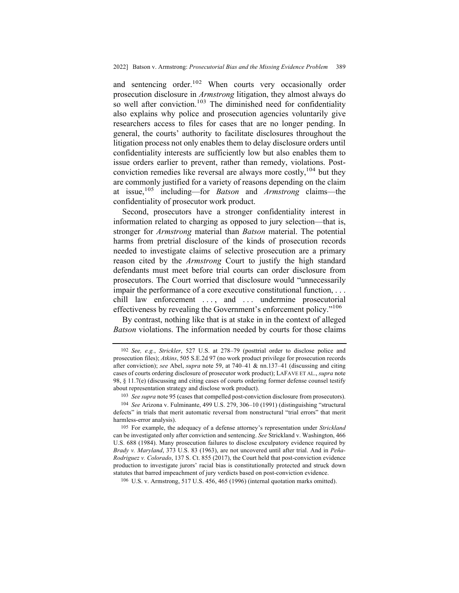and sentencing order.<sup>102</sup> When courts very occasionally order prosecution disclosure in *Armstrong* litigation, they almost always do so well after conviction.<sup>103</sup> The diminished need for confidentiality also explains why police and prosecution agencies voluntarily give researchers access to files for cases that are no longer pending. In general, the courts' authority to facilitate disclosures throughout the litigation process not only enables them to delay disclosure orders until confidentiality interests are sufficiently low but also enables them to issue orders earlier to prevent, rather than remedy, violations. Postconviction remedies like reversal are always more costly,  $104$  but they are commonly justified for a variety of reasons depending on the claim at issue,<sup>105</sup> including—for *Batson* and *Armstrong* claims—the confidentiality of prosecutor work product.

Second, prosecutors have a stronger confidentiality interest in information related to charging as opposed to jury selection—that is, stronger for *Armstrong* material than *Batson* material. The potential harms from pretrial disclosure of the kinds of prosecution records needed to investigate claims of selective prosecution are a primary reason cited by the *Armstrong* Court to justify the high standard defendants must meet before trial courts can order disclosure from prosecutors. The Court worried that disclosure would "unnecessarily impair the performance of a core executive constitutional function, . . . chill law enforcement ..., and ... undermine prosecutorial effectiveness by revealing the Government's enforcement policy."106

By contrast, nothing like that is at stake in in the context of alleged *Batson* violations. The information needed by courts for those claims

103 *See supra* note 95 (cases that compelled post-conviction disclosure from prosecutors).

106 U.S. v. Armstrong, 517 U.S. 456, 465 (1996) (internal quotation marks omitted).

<sup>102</sup> *See, e.g.*, *Strickler*, 527 U.S. at 278–79 (posttrial order to disclose police and prosecution files); *Atkins*, 505 S.E.2d 97 (no work product privilege for prosecution records after conviction); *see* Abel, *supra* note 59, at 740–41 & nn.137–41 (discussing and citing cases of courts ordering disclosure of prosecutor work product); LAFAVE ET AL., *supra* note 98, § 11.7(e) (discussing and citing cases of courts ordering former defense counsel testify about representation strategy and disclose work product).

<sup>104</sup> *See* Arizona v. Fulminante, 499 U.S. 279, 306–10 (1991) (distinguishing "structural defects" in trials that merit automatic reversal from nonstructural "trial errors" that merit harmless-error analysis).

<sup>105</sup> For example, the adequacy of a defense attorney's representation under *Strickland*  can be investigated only after conviction and sentencing. *See* Strickland v. Washington, 466 U.S. 688 (1984). Many prosecution failures to disclose exculpatory evidence required by *Brady v. Maryland*, 373 U.S. 83 (1963), are not uncovered until after trial. And in *Peña-Rodriguez v. Colorado*, 137 S. Ct. 855 (2017), the Court held that post-conviction evidence production to investigate jurors' racial bias is constitutionally protected and struck down statutes that barred impeachment of jury verdicts based on post-conviction evidence.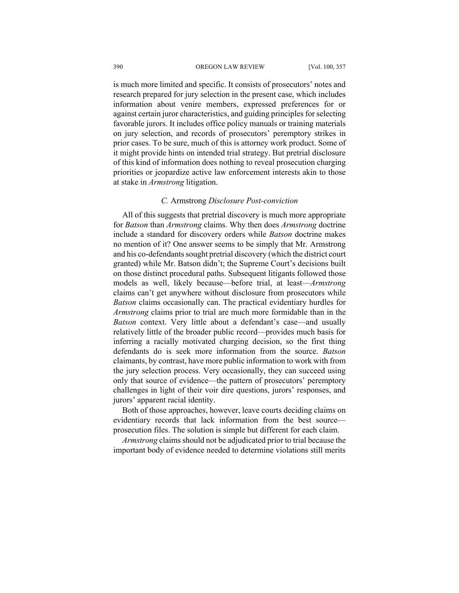is much more limited and specific. It consists of prosecutors' notes and research prepared for jury selection in the present case, which includes information about venire members, expressed preferences for or against certain juror characteristics, and guiding principles for selecting favorable jurors. It includes office policy manuals or training materials on jury selection, and records of prosecutors' peremptory strikes in prior cases. To be sure, much of this is attorney work product. Some of it might provide hints on intended trial strategy. But pretrial disclosure of this kind of information does nothing to reveal prosecution charging priorities or jeopardize active law enforcement interests akin to those at stake in *Armstrong* litigation.

### *C.* Armstrong *Disclosure Post-conviction*

All of this suggests that pretrial discovery is much more appropriate for *Batson* than *Armstrong* claims. Why then does *Armstrong* doctrine include a standard for discovery orders while *Batson* doctrine makes no mention of it? One answer seems to be simply that Mr. Armstrong and his co-defendants sought pretrial discovery (which the district court granted) while Mr. Batson didn't; the Supreme Court's decisions built on those distinct procedural paths. Subsequent litigants followed those models as well, likely because—before trial, at least—*Armstrong*  claims can't get anywhere without disclosure from prosecutors while *Batson* claims occasionally can. The practical evidentiary hurdles for *Armstrong* claims prior to trial are much more formidable than in the *Batson* context. Very little about a defendant's case—and usually relatively little of the broader public record—provides much basis for inferring a racially motivated charging decision, so the first thing defendants do is seek more information from the source. *Batson*  claimants, by contrast, have more public information to work with from the jury selection process. Very occasionally, they can succeed using only that source of evidence—the pattern of prosecutors' peremptory challenges in light of their voir dire questions, jurors' responses, and jurors' apparent racial identity.

Both of those approaches, however, leave courts deciding claims on evidentiary records that lack information from the best source prosecution files. The solution is simple but different for each claim.

*Armstrong* claims should not be adjudicated prior to trial because the important body of evidence needed to determine violations still merits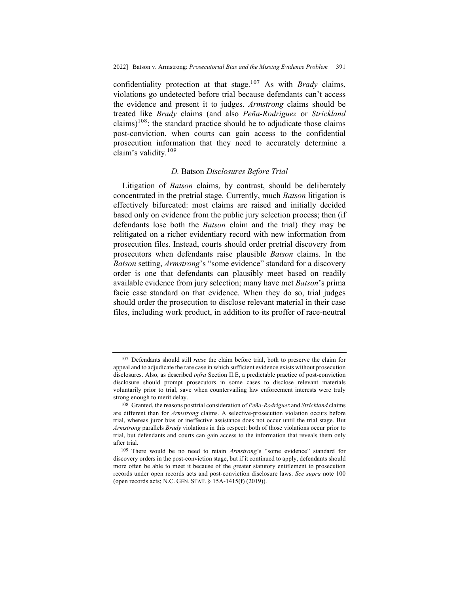confidentiality protection at that stage.107 As with *Brady* claims, violations go undetected before trial because defendants can't access the evidence and present it to judges. *Armstrong* claims should be treated like *Brady* claims (and also *Peña-Rodriguez* or *Strickland*  claims)<sup>108</sup>: the standard practice should be to adjudicate those claims post-conviction, when courts can gain access to the confidential prosecution information that they need to accurately determine a claim's validity.109

#### *D.* Batson *Disclosures Before Trial*

Litigation of *Batson* claims, by contrast, should be deliberately concentrated in the pretrial stage. Currently, much *Batson* litigation is effectively bifurcated: most claims are raised and initially decided based only on evidence from the public jury selection process; then (if defendants lose both the *Batson* claim and the trial) they may be relitigated on a richer evidentiary record with new information from prosecution files. Instead, courts should order pretrial discovery from prosecutors when defendants raise plausible *Batson* claims. In the *Batson* setting, *Armstrong*'s "some evidence" standard for a discovery order is one that defendants can plausibly meet based on readily available evidence from jury selection; many have met *Batson*'s prima facie case standard on that evidence. When they do so, trial judges should order the prosecution to disclose relevant material in their case files, including work product, in addition to its proffer of race-neutral

<sup>107</sup> Defendants should still *raise* the claim before trial, both to preserve the claim for appeal and to adjudicate the rare case in which sufficient evidence exists without prosecution disclosures. Also, as described *infra* Section II.E, a predictable practice of post-conviction disclosure should prompt prosecutors in some cases to disclose relevant materials voluntarily prior to trial, save when countervailing law enforcement interests were truly strong enough to merit delay.

<sup>108</sup> Granted, the reasons posttrial consideration of *Peña-Rodriguez* and *Strickland* claims are different than for *Armstrong* claims. A selective-prosecution violation occurs before trial, whereas juror bias or ineffective assistance does not occur until the trial stage. But *Armstrong* parallels *Brady* violations in this respect: both of those violations occur prior to trial, but defendants and courts can gain access to the information that reveals them only after trial.

<sup>109</sup> There would be no need to retain *Armstrong*'s "some evidence" standard for discovery orders in the post-conviction stage, but if it continued to apply, defendants should more often be able to meet it because of the greater statutory entitlement to prosecution records under open records acts and post-conviction disclosure laws. *See supra* note 100 (open records acts; N.C. GEN. STAT. § 15A-1415(f) (2019)).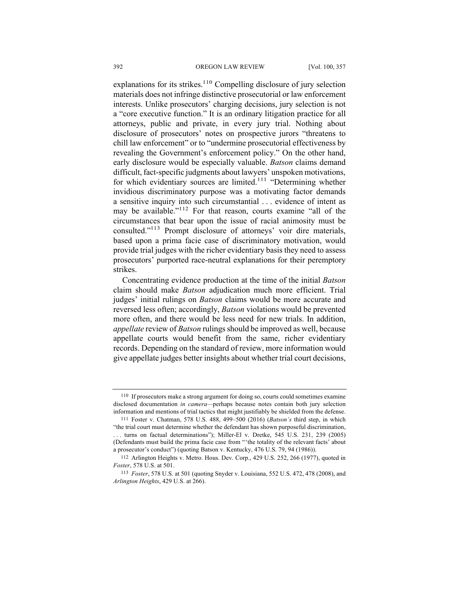explanations for its strikes.<sup>110</sup> Compelling disclosure of jury selection materials does not infringe distinctive prosecutorial or law enforcement interests. Unlike prosecutors' charging decisions, jury selection is not a "core executive function." It is an ordinary litigation practice for all attorneys, public and private, in every jury trial. Nothing about disclosure of prosecutors' notes on prospective jurors "threatens to chill law enforcement" or to "undermine prosecutorial effectiveness by revealing the Government's enforcement policy." On the other hand, early disclosure would be especially valuable. *Batson* claims demand difficult, fact-specific judgments about lawyers' unspoken motivations, for which evidentiary sources are limited.<sup>111</sup> "Determining whether invidious discriminatory purpose was a motivating factor demands a sensitive inquiry into such circumstantial . . . evidence of intent as may be available."<sup>112</sup> For that reason, courts examine "all of the circumstances that bear upon the issue of racial animosity must be consulted."113 Prompt disclosure of attorneys' voir dire materials, based upon a prima facie case of discriminatory motivation, would provide trial judges with the richer evidentiary basis they need to assess prosecutors' purported race-neutral explanations for their peremptory strikes.

Concentrating evidence production at the time of the initial *Batson*  claim should make *Batson* adjudication much more efficient. Trial judges' initial rulings on *Batson* claims would be more accurate and reversed less often; accordingly, *Batson* violations would be prevented more often, and there would be less need for new trials. In addition, *appellate* review of *Batson* rulings should be improved as well, because appellate courts would benefit from the same, richer evidentiary records. Depending on the standard of review, more information would give appellate judges better insights about whether trial court decisions,

<sup>110</sup> If prosecutors make a strong argument for doing so, courts could sometimes examine disclosed documentation *in camera—*perhaps because notes contain both jury selection information and mentions of trial tactics that might justifiably be shielded from the defense.

<sup>111</sup> Foster v. Chatman, 578 U.S. 488, 499–500 (2016) (*Batson's* third step, in which "the trial court must determine whether the defendant has shown purposeful discrimination, . . . turns on factual determinations"); Miller-El v. Dretke, 545 U.S. 231, 239 (2005) (Defendants must build the prima facie case from "'the totality of the relevant facts' about a prosecutor's conduct") (quoting Batson v. Kentucky, 476 U.S. 79, 94 (1986)).

<sup>112</sup> Arlington Heights v. Metro. Hous. Dev. Corp., 429 U.S. 252, 266 (1977), quoted in *Foster*, 578 U.S. at 501.

<sup>113</sup> *Foster*, 578 U.S. at 501 (quoting Snyder v. Louisiana, 552 U.S. 472, 478 (2008), and *Arlington Heights*, 429 U.S. at 266).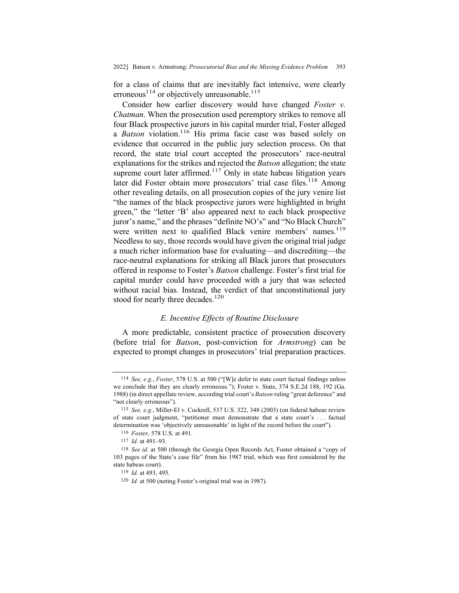for a class of claims that are inevitably fact intensive, were clearly erroneous<sup>114</sup> or objectively unreasonable.<sup>115</sup>

Consider how earlier discovery would have changed *Foster v. Chatman*. When the prosecution used peremptory strikes to remove all four Black prospective jurors in his capital murder trial, Foster alleged a *Batson* violation.<sup>116</sup> His prima facie case was based solely on evidence that occurred in the public jury selection process. On that record, the state trial court accepted the prosecutors' race-neutral explanations for the strikes and rejected the *Batson* allegation; the state supreme court later affirmed. $117$  Only in state habeas litigation years later did Foster obtain more prosecutors' trial case files.<sup>118</sup> Among other revealing details, on all prosecution copies of the jury venire list "the names of the black prospective jurors were highlighted in bright green," the "letter 'B' also appeared next to each black prospective juror's name," and the phrases "definite NO's" and "No Black Church" were written next to qualified Black venire members' names.<sup>119</sup> Needless to say, those records would have given the original trial judge a much richer information base for evaluating—and discrediting—the race-neutral explanations for striking all Black jurors that prosecutors offered in response to Foster's *Batson* challenge. Foster's first trial for capital murder could have proceeded with a jury that was selected without racial bias. Instead, the verdict of that unconstitutional jury stood for nearly three decades.<sup>120</sup>

## *E. Incentive Effects of Routine Disclosure*

A more predictable, consistent practice of prosecution discovery (before trial for *Batson*, post-conviction for *Armstrong*) can be expected to prompt changes in prosecutors' trial preparation practices.

<sup>114</sup> *See, e.g.*, *Foster*, 578 U.S. at 500 ("[W]e defer to state court factual findings unless we conclude that they are clearly erroneous."); Foster v. State, 374 S.E.2d 188, 192 (Ga. 1988) (in direct appellate review, according trial court's *Batson* ruling "great deference" and "not clearly erroneous").

<sup>115</sup> *See, e.g.*, Miller-El v. Cockrell, 537 U.S. 322, 348 (2003) (on federal habeas review of state court judgment, "petitioner must demonstrate that a state court's . . . factual determination was 'objectively unreasonable' in light of the record before the court").

<sup>116</sup> *Foster*, 578 U.S. at 491.

<sup>117</sup> *Id.* at 491**–**93.

<sup>118</sup> *See id.* at 500 (through the Georgia Open Records Act, Foster obtained a "copy of 103 pages of the State's case file" from his 1987 trial, which was first considered by the state habeas court).

<sup>119</sup> *Id.* at 493, 495.

<sup>120</sup> *Id.* at 500 (noting Foster's original trial was in 1987).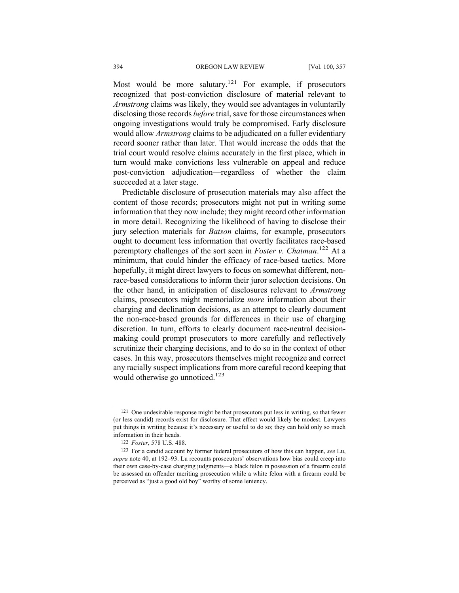Most would be more salutary.<sup>121</sup> For example, if prosecutors recognized that post-conviction disclosure of material relevant to *Armstrong* claims was likely, they would see advantages in voluntarily disclosing those records *before* trial, save for those circumstances when ongoing investigations would truly be compromised. Early disclosure would allow *Armstrong* claims to be adjudicated on a fuller evidentiary record sooner rather than later. That would increase the odds that the trial court would resolve claims accurately in the first place, which in turn would make convictions less vulnerable on appeal and reduce post-conviction adjudication—regardless of whether the claim succeeded at a later stage.

Predictable disclosure of prosecution materials may also affect the content of those records; prosecutors might not put in writing some information that they now include; they might record other information in more detail. Recognizing the likelihood of having to disclose their jury selection materials for *Batson* claims, for example, prosecutors ought to document less information that overtly facilitates race-based peremptory challenges of the sort seen in *Foster v. Chatman*. <sup>122</sup> At a minimum, that could hinder the efficacy of race-based tactics. More hopefully, it might direct lawyers to focus on somewhat different, nonrace-based considerations to inform their juror selection decisions. On the other hand, in anticipation of disclosures relevant to *Armstrong*  claims, prosecutors might memorialize *more* information about their charging and declination decisions, as an attempt to clearly document the non-race-based grounds for differences in their use of charging discretion. In turn, efforts to clearly document race-neutral decisionmaking could prompt prosecutors to more carefully and reflectively scrutinize their charging decisions, and to do so in the context of other cases. In this way, prosecutors themselves might recognize and correct any racially suspect implications from more careful record keeping that would otherwise go unnoticed.<sup>123</sup>

<sup>121</sup> One undesirable response might be that prosecutors put less in writing, so that fewer (or less candid) records exist for disclosure. That effect would likely be modest. Lawyers put things in writing because it's necessary or useful to do so; they can hold only so much information in their heads.

<sup>122</sup> *Foster*, 578 U.S. 488.

<sup>123</sup> For a candid account by former federal prosecutors of how this can happen, *see* Lu, *supra* note 40, at 192**–**93. Lu recounts prosecutors' observations how bias could creep into their own case-by-case charging judgments—a black felon in possession of a firearm could be assessed an offender meriting prosecution while a white felon with a firearm could be perceived as "just a good old boy" worthy of some leniency.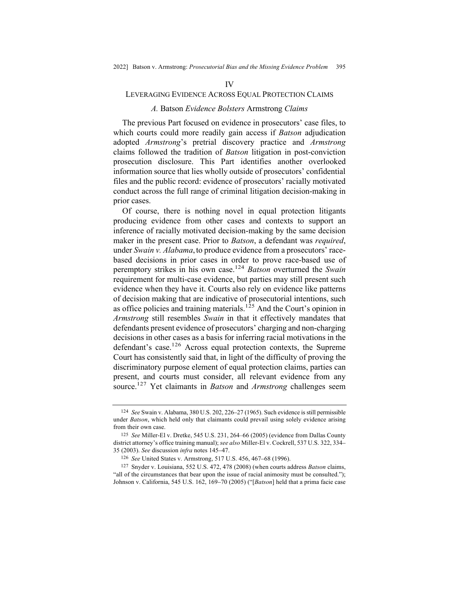#### IV

## LEVERAGING EVIDENCE ACROSS EQUAL PROTECTION CLAIMS

#### *A.* Batson *Evidence Bolsters* Armstrong *Claims*

The previous Part focused on evidence in prosecutors' case files, to which courts could more readily gain access if *Batson* adjudication adopted *Armstrong*'s pretrial discovery practice and *Armstrong*  claims followed the tradition of *Batson* litigation in post-conviction prosecution disclosure. This Part identifies another overlooked information source that lies wholly outside of prosecutors' confidential files and the public record: evidence of prosecutors' racially motivated conduct across the full range of criminal litigation decision-making in prior cases.

Of course, there is nothing novel in equal protection litigants producing evidence from other cases and contexts to support an inference of racially motivated decision-making by the same decision maker in the present case. Prior to *Batson*, a defendant was *required*, under *Swain v. Alabama*,to produce evidence from a prosecutors' racebased decisions in prior cases in order to prove race-based use of peremptory strikes in his own case.124 *Batson* overturned the *Swain* requirement for multi-case evidence, but parties may still present such evidence when they have it. Courts also rely on evidence like patterns of decision making that are indicative of prosecutorial intentions, such as office policies and training materials.<sup>125</sup> And the Court's opinion in *Armstrong* still resembles *Swain* in that it effectively mandates that defendants present evidence of prosecutors' charging and non-charging decisions in other cases as a basis for inferring racial motivations in the defendant's case.<sup>126</sup> Across equal protection contexts, the Supreme Court has consistently said that, in light of the difficulty of proving the discriminatory purpose element of equal protection claims, parties can present, and courts must consider, all relevant evidence from any source.127 Yet claimants in *Batson* and *Armstrong* challenges seem

<sup>124</sup> *See* Swain v. Alabama, 380 U.S. 202, 226**–**27 (1965). Such evidence is still permissible under *Batson*, which held only that claimants could prevail using solely evidence arising from their own case.

<sup>125</sup> *See* Miller-El v. Dretke, 545 U.S. 231, 264–66 (2005) (evidence from Dallas County district attorney's office training manual); *see also* Miller-El v. Cockrell, 537 U.S. 322, 334**–** 35 (2003). *See* discussion *infra* notes 145**–**47.

<sup>126</sup> *See* United States v. Armstrong, 517 U.S. 456, 467**–**68 (1996).

<sup>127</sup> Snyder v. Louisiana, 552 U.S. 472, 478 (2008) (when courts address *Batson* claims, "all of the circumstances that bear upon the issue of racial animosity must be consulted."); Johnson v. California, 545 U.S. 162, 169**–**70 (2005) ("[*Batson*] held that a prima facie case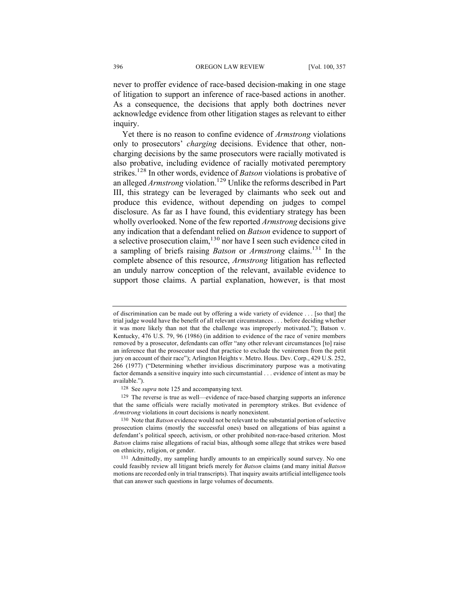never to proffer evidence of race-based decision-making in one stage of litigation to support an inference of race-based actions in another. As a consequence, the decisions that apply both doctrines never acknowledge evidence from other litigation stages as relevant to either inquiry.

Yet there is no reason to confine evidence of *Armstrong* violations only to prosecutors' *charging* decisions. Evidence that other, noncharging decisions by the same prosecutors were racially motivated is also probative, including evidence of racially motivated peremptory strikes.128 In other words, evidence of *Batson* violations is probative of an alleged *Armstrong* violation.<sup>129</sup> Unlike the reforms described in Part III, this strategy can be leveraged by claimants who seek out and produce this evidence, without depending on judges to compel disclosure. As far as I have found, this evidentiary strategy has been wholly overlooked. None of the few reported *Armstrong* decisions give any indication that a defendant relied on *Batson* evidence to support of a selective prosecution claim,  $130$  nor have I seen such evidence cited in a sampling of briefs raising *Batson* or *Armstrong* claims.131 In the complete absence of this resource, *Armstrong* litigation has reflected an unduly narrow conception of the relevant, available evidence to support those claims. A partial explanation, however, is that most

of discrimination can be made out by offering a wide variety of evidence . . . [so that] the trial judge would have the benefit of all relevant circumstances . . . before deciding whether it was more likely than not that the challenge was improperly motivated."); Batson v. Kentucky, 476 U.S. 79, 96 (1986) (in addition to evidence of the race of venire members removed by a prosecutor, defendants can offer "any other relevant circumstances [to] raise an inference that the prosecutor used that practice to exclude the veniremen from the petit jury on account of their race"); Arlington Heights v. Metro. Hous. Dev. Corp., 429 U.S. 252, 266 (1977) ("Determining whether invidious discriminatory purpose was a motivating factor demands a sensitive inquiry into such circumstantial . . . evidence of intent as may be available.").

<sup>128</sup> See *supra* note 125 and accompanying text.

<sup>129</sup> The reverse is true as well—evidence of race-based charging supports an inference that the same officials were racially motivated in peremptory strikes. But evidence of *Armstrong* violations in court decisions is nearly nonexistent.

<sup>130</sup> Note that *Batson* evidence would not be relevant to the substantial portion of selective prosecution claims (mostly the successful ones) based on allegations of bias against a defendant's political speech, activism, or other prohibited non-race-based criterion. Most *Batson* claims raise allegations of racial bias, although some allege that strikes were based on ethnicity, religion, or gender.

<sup>131</sup> Admittedly, my sampling hardly amounts to an empirically sound survey. No one could feasibly review all litigant briefs merely for *Batson* claims (and many initial *Batson*  motions are recorded only in trial transcripts). That inquiry awaits artificial intelligence tools that can answer such questions in large volumes of documents.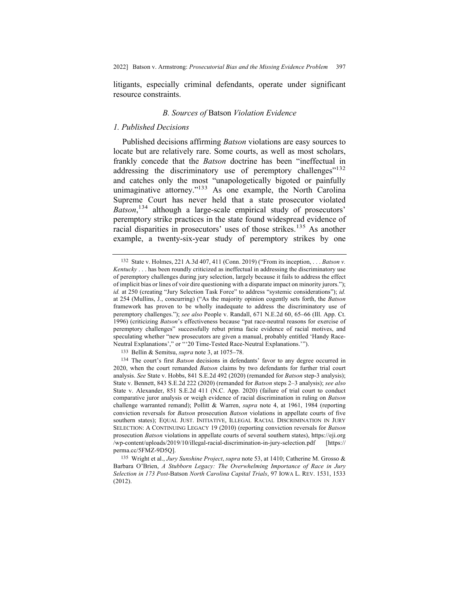litigants, especially criminal defendants, operate under significant resource constraints.

# *B. Sources of* Batson *Violation Evidence*

### *1. Published Decisions*

Published decisions affirming *Batson* violations are easy sources to locate but are relatively rare. Some courts, as well as most scholars, frankly concede that the *Batson* doctrine has been "ineffectual in addressing the discriminatory use of peremptory challenges"<sup>132</sup> and catches only the most "unapologetically bigoted or painfully unimaginative attorney."<sup>133</sup> As one example, the North Carolina Supreme Court has never held that a state prosecutor violated *Batson*, <sup>134</sup> although a large-scale empirical study of prosecutors' peremptory strike practices in the state found widespread evidence of racial disparities in prosecutors' uses of those strikes.<sup>135</sup> As another example, a twenty-six-year study of peremptory strikes by one

<sup>132</sup> State v. Holmes, 221 A.3d 407, 411 (Conn. 2019) ("From its inception, . . . *Batson v. Kentucky* . . . has been roundly criticized as ineffectual in addressing the discriminatory use of peremptory challenges during jury selection, largely because it fails to address the effect of implicit bias or lines of voir dire questioning with a disparate impact on minority jurors."); *id.* at 250 (creating "Jury Selection Task Force" to address "systemic considerations"); *id.* at 254 (Mullins, J., concurring) ("As the majority opinion cogently sets forth, the *Batson* framework has proven to be wholly inadequate to address the discriminatory use of peremptory challenges."); *see also* People v. Randall, 671 N.E.2d 60, 65**–**66 (Ill. App. Ct. 1996) (criticizing *Batson*'s effectiveness because "pat race-neutral reasons for exercise of peremptory challenges" successfully rebut prima facie evidence of racial motives, and speculating whether "new prosecutors are given a manual, probably entitled 'Handy Race-Neutral Explanations'," or "'20 Time‐Tested Race‐Neutral Explanations.'").

<sup>133</sup> Bellin & Semitsu, *supra* note 3, at 1075**–**78.

<sup>134</sup> The court's first *Batson* decisions in defendants' favor to any degree occurred in 2020, when the court remanded *Batson* claims by two defendants for further trial court analysis. *See* State v. Hobbs, 841 S.E.2d 492 (2020) (remanded for *Batson* step-3 analysis); State v. Bennett, 843 S.E.2d 222 (2020) (remanded for *Batson* steps 2–3 analysis); *see also* State v. Alexander, 851 S.E.2d 411 (N.C. App. 2020) (failure of trial court to conduct comparative juror analysis or weigh evidence of racial discrimination in ruling on *Batson* challenge warranted remand); Pollitt & Warren, *supra* note 4, at 1961, 1984 (reporting conviction reversals for *Batson* prosecution *Batson* violations in appellate courts of five southern states); EQUAL JUST. INITIATIVE, ILLEGAL RACIAL DISCRIMINATION IN JURY SELECTION: A CONTINUING LEGACY 19 (2010) (reporting conviction reversals for *Batson*  prosecution *Batson* violations in appellate courts of several southern states), https://eji.org /wp-content/uploads/2019/10/illegal-racial-discrimination-in-jury-selection.pdf [https:// perma.cc/5FMZ-9D5Q].

<sup>135</sup> Wright et al., *Jury Sunshine Project*, *supra* note 53, at 1410; Catherine M. Grosso & Barbara O'Brien, *A Stubborn Legacy: The Overwhelming Importance of Race in Jury Selection in 173 Post-*Batson *North Carolina Capital Trials*, 97 IOWA L. REV. 1531, 1533 (2012).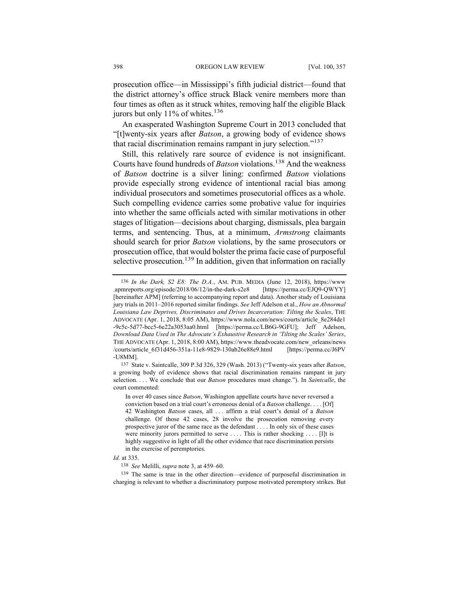prosecution office—in Mississippi's fifth judicial district—found that the district attorney's office struck Black venire members more than four times as often as it struck whites, removing half the eligible Black jurors but only 11% of whites.<sup>136</sup>

An exasperated Washington Supreme Court in 2013 concluded that "[t]wenty-six years after *Batson*, a growing body of evidence shows that racial discrimination remains rampant in jury selection."<sup>137</sup>

Still, this relatively rare source of evidence is not insignificant. Courts have found hundreds of *Batson* violations.<sup>138</sup> And the weakness of *Batson* doctrine is a silver lining: confirmed *Batson* violations provide especially strong evidence of intentional racial bias among individual prosecutors and sometimes prosecutorial offices as a whole. Such compelling evidence carries some probative value for inquiries into whether the same officials acted with similar motivations in other stages of litigation—decisions about charging, dismissals, plea bargain terms, and sentencing. Thus, at a minimum, *Armstrong* claimants should search for prior *Batson* violations, by the same prosecutors or prosecution office, that would bolster the prima facie case of purposeful selective prosecution.<sup>139</sup> In addition, given that information on racially

139 The same is true in the other direction—evidence of purposeful discrimination in charging is relevant to whether a discriminatory purpose motivated peremptory strikes. But

<sup>136</sup> *In the Dark, S2 E8: The D.A.*, AM. PUB. MEDIA (June 12, 2018), https://www .apmreports.org/episode/2018/06/12/in-the-dark-s2e8 [https://perma.cc/EJQ9-QWYY] [hereinafter APM] (referring to accompanying report and data). Another study of Louisiana jury trials in 2011–2016 reported similar findings. *See* Jeff Adelson et al., *How an Abnormal Louisiana Law Deprives, Discriminates and Drives Incarceration: Tilting the Scales*, THE ADVOCATE (Apr. 1, 2018, 8:05 AM), https://www.nola.com/news/courts/article\_8e284de1 -9c5c-5d77-bcc5-6e22a3053aa0.html [https://perma.cc/LB6G-9GFU]; Jeff Adelson, *Download Data Used in The Advocate's Exhaustive Research in 'Tilting the Scales' Series*, THE ADVOCATE (Apr. 1, 2018, 8:00 AM), https://www.theadvocate.com/new\_orleans/news /courts/article\_6f31d456-351a-11e8-9829-130ab26e88e9.html [https://perma.cc/J6PV -U8MM].

<sup>137</sup> State v. Saintcalle, 309 P.3d 326, 329 (Wash. 2013) ("Twenty-six years after *Batson*, a growing body of evidence shows that racial discrimination remains rampant in jury selection. . . . We conclude that our *Batson* procedures must change."). In *Saintcalle*, the court commented:

In over 40 cases since *Batson*, Washington appellate courts have never reversed a conviction based on a trial court's erroneous denial of a *Batson* challenge. . . . [Of] 42 Washington *Batson* cases, all . . . affirm a trial court's denial of a *Batson* challenge. Of those 42 cases, 28 involve the prosecution removing every prospective juror of the same race as the defendant . . . . In only six of these cases were minority jurors permitted to serve .... This is rather shocking .... [I]t is highly suggestive in light of all the other evidence that race discrimination persists in the exercise of peremptories.

*Id.* at 335.

<sup>138</sup> *See* Melilli, *supra* note 3, at 459–60.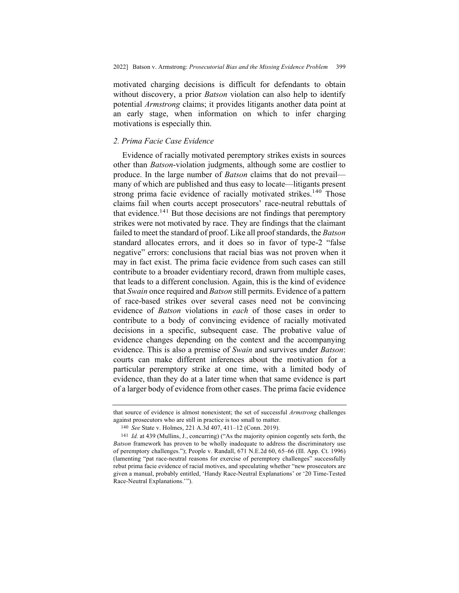motivated charging decisions is difficult for defendants to obtain without discovery, a prior *Batson* violation can also help to identify potential *Armstrong* claims; it provides litigants another data point at an early stage, when information on which to infer charging motivations is especially thin.

## *2. Prima Facie Case Evidence*

Evidence of racially motivated peremptory strikes exists in sources other than *Batson*-violation judgments, although some are costlier to produce. In the large number of *Batson* claims that do not prevail many of which are published and thus easy to locate—litigants present strong prima facie evidence of racially motivated strikes.<sup>140</sup> Those claims fail when courts accept prosecutors' race-neutral rebuttals of that evidence.<sup>141</sup> But those decisions are not findings that peremptory strikes were not motivated by race. They are findings that the claimant failed to meet the standard of proof. Like all proof standards, the *Batson*  standard allocates errors, and it does so in favor of type-2 "false negative" errors: conclusions that racial bias was not proven when it may in fact exist. The prima facie evidence from such cases can still contribute to a broader evidentiary record, drawn from multiple cases, that leads to a different conclusion. Again, this is the kind of evidence that *Swain* once required and *Batson* still permits. Evidence of a pattern of race-based strikes over several cases need not be convincing evidence of *Batson* violations in *each* of those cases in order to contribute to a body of convincing evidence of racially motivated decisions in a specific, subsequent case. The probative value of evidence changes depending on the context and the accompanying evidence. This is also a premise of *Swain* and survives under *Batson*: courts can make different inferences about the motivation for a particular peremptory strike at one time, with a limited body of evidence, than they do at a later time when that same evidence is part of a larger body of evidence from other cases. The prima facie evidence

that source of evidence is almost nonexistent; the set of successful *Armstrong* challenges against prosecutors who are still in practice is too small to matter.

<sup>140</sup> *See* State v. Holmes, 221 A.3d 407, 411–12 (Conn. 2019).

<sup>141</sup> *Id.* at 439 (Mullins, J., concurring) ("As the majority opinion cogently sets forth, the *Batson* framework has proven to be wholly inadequate to address the discriminatory use of peremptory challenges."); People v. Randall, 671 N.E.2d 60, 65–66 (Ill. App. Ct. 1996) (lamenting "pat race‐neutral reasons for exercise of peremptory challenges" successfully rebut prima facie evidence of racial motives, and speculating whether "new prosecutors are given a manual, probably entitled, 'Handy Race‐Neutral Explanations' or '20 Time‐Tested Race‐Neutral Explanations.'").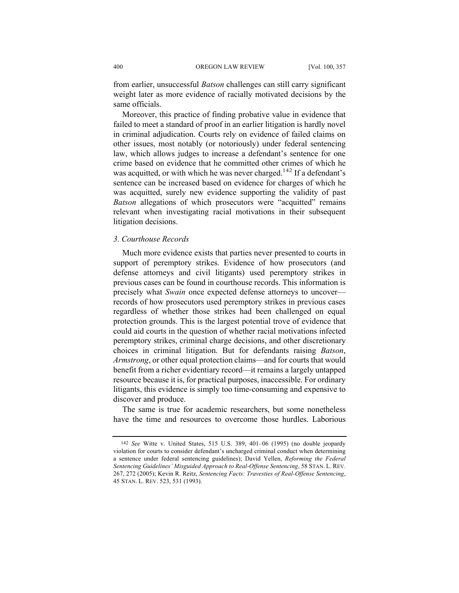from earlier, unsuccessful *Batson* challenges can still carry significant weight later as more evidence of racially motivated decisions by the same officials.

Moreover, this practice of finding probative value in evidence that failed to meet a standard of proof in an earlier litigation is hardly novel in criminal adjudication. Courts rely on evidence of failed claims on other issues, most notably (or notoriously) under federal sentencing law, which allows judges to increase a defendant's sentence for one crime based on evidence that he committed other crimes of which he was acquitted, or with which he was never charged.<sup>142</sup> If a defendant's sentence can be increased based on evidence for charges of which he was acquitted, surely new evidence supporting the validity of past *Batson* allegations of which prosecutors were "acquitted" remains relevant when investigating racial motivations in their subsequent litigation decisions.

### *3. Courthouse Records*

Much more evidence exists that parties never presented to courts in support of peremptory strikes. Evidence of how prosecutors (and defense attorneys and civil litigants) used peremptory strikes in previous cases can be found in courthouse records. This information is precisely what *Swain* once expected defense attorneys to uncover records of how prosecutors used peremptory strikes in previous cases regardless of whether those strikes had been challenged on equal protection grounds. This is the largest potential trove of evidence that could aid courts in the question of whether racial motivations infected peremptory strikes, criminal charge decisions, and other discretionary choices in criminal litigation. But for defendants raising *Batson*, *Armstrong*, or other equal protection claims—and for courts that would benefit from a richer evidentiary record—it remains a largely untapped resource because it is, for practical purposes, inaccessible. For ordinary litigants, this evidence is simply too time-consuming and expensive to discover and produce.

The same is true for academic researchers, but some nonetheless have the time and resources to overcome those hurdles. Laborious

<sup>142</sup> *See* Witte v. United States, 515 U.S. 389, 401–06 (1995) (no double jeopardy violation for courts to consider defendant's uncharged criminal conduct when determining a sentence under federal sentencing guidelines); David Yellen, *Reforming the Federal Sentencing Guidelines' Misguided Approach to Real-Offense Sentencing*, 58 STAN. L. REV. 267, 272 (2005); Kevin R. Reitz, *Sentencing Facts: Travesties of Real-Offense Sentencing*, 45 STAN. L. REV. 523, 531 (1993).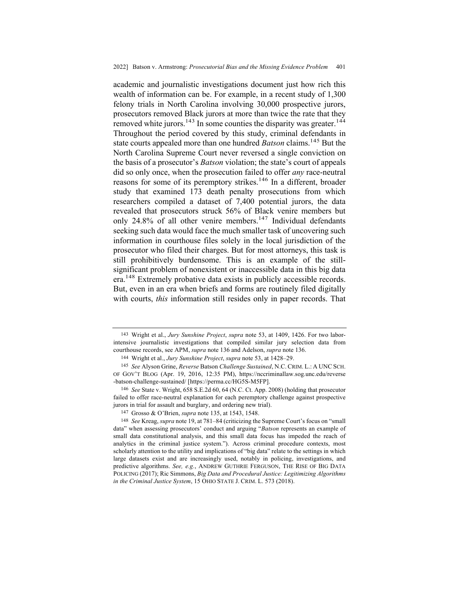academic and journalistic investigations document just how rich this wealth of information can be. For example, in a recent study of 1,300 felony trials in North Carolina involving 30,000 prospective jurors, prosecutors removed Black jurors at more than twice the rate that they removed white jurors.<sup>143</sup> In some counties the disparity was greater.<sup>144</sup> Throughout the period covered by this study, criminal defendants in state courts appealed more than one hundred *Batson* claims.<sup>145</sup> But the North Carolina Supreme Court never reversed a single conviction on the basis of a prosecutor's *Batson* violation; the state's court of appeals did so only once, when the prosecution failed to offer *any* race-neutral reasons for some of its peremptory strikes.<sup>146</sup> In a different, broader study that examined 173 death penalty prosecutions from which researchers compiled a dataset of 7,400 potential jurors, the data revealed that prosecutors struck 56% of Black venire members but only 24.8% of all other venire members.<sup>147</sup> Individual defendants seeking such data would face the much smaller task of uncovering such information in courthouse files solely in the local jurisdiction of the prosecutor who filed their charges. But for most attorneys, this task is still prohibitively burdensome. This is an example of the stillsignificant problem of nonexistent or inaccessible data in this big data era.<sup>148</sup> Extremely probative data exists in publicly accessible records. But, even in an era when briefs and forms are routinely filed digitally with courts, *this* information still resides only in paper records. That

<sup>143</sup> Wright et al., *Jury Sunshine Project*, *supra* note 53, at 1409, 1426. For two laborintensive journalistic investigations that compiled similar jury selection data from courthouse records, see APM, *supra* note 136 and Adelson, *supra* note 136.

<sup>144</sup> Wright et al., *Jury Sunshine Project*, *supra* note 53, at 1428–29.

<sup>145</sup> *See* Alyson Grine, *Reverse* Batson *Challenge Sustained*, N.C. CRIM. L.: A UNC SCH. OF GOV'T BLOG (Apr. 19, 2016, 12:35 PM), https://nccriminallaw.sog.unc.edu/reverse -batson-challenge-sustained/ [https://perma.cc/HG5S-M5FP].

<sup>146</sup> *See* State v. Wright, 658 S.E.2d 60, 64 (N.C. Ct. App. 2008) (holding that prosecutor failed to offer race-neutral explanation for each peremptory challenge against prospective jurors in trial for assault and burglary, and ordering new trial).

<sup>147</sup> Grosso & O'Brien, *supra* note 135, at 1543, 1548.

<sup>148</sup> *See* Kreag, *supra* note 19, at 781–84 (criticizing the Supreme Court's focus on "small data" when assessing prosecutors' conduct and arguing "*Batson* represents an example of small data constitutional analysis, and this small data focus has impeded the reach of analytics in the criminal justice system."). Across criminal procedure contexts, most scholarly attention to the utility and implications of "big data" relate to the settings in which large datasets exist and are increasingly used, notably in policing, investigations, and predictive algorithms. *See, e.g.*, ANDREW GUTHRIE FERGUSON, THE RISE OF BIG DATA POLICING (2017); Ric Simmons, *Big Data and Procedural Justice: Legitimizing Algorithms in the Criminal Justice System*, 15 OHIO STATE J. CRIM. L. 573 (2018).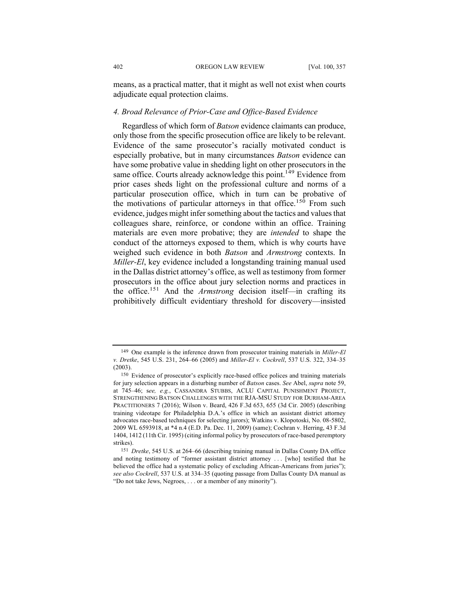means, as a practical matter, that it might as well not exist when courts adjudicate equal protection claims.

## *4. Broad Relevance of Prior-Case and Office-Based Evidence*

Regardless of which form of *Batson* evidence claimants can produce, only those from the specific prosecution office are likely to be relevant. Evidence of the same prosecutor's racially motivated conduct is especially probative, but in many circumstances *Batson* evidence can have some probative value in shedding light on other prosecutors in the same office. Courts already acknowledge this point.<sup>149</sup> Evidence from prior cases sheds light on the professional culture and norms of a particular prosecution office, which in turn can be probative of the motivations of particular attorneys in that office.<sup>150</sup> From such evidence, judges might infer something about the tactics and values that colleagues share, reinforce, or condone within an office. Training materials are even more probative; they are *intended* to shape the conduct of the attorneys exposed to them, which is why courts have weighed such evidence in both *Batson* and *Armstrong* contexts. In *Miller-El*, key evidence included a longstanding training manual used in the Dallas district attorney's office, as well as testimony from former prosecutors in the office about jury selection norms and practices in the office.<sup>151</sup> And the *Armstrong* decision itself—in crafting its prohibitively difficult evidentiary threshold for discovery—insisted

<sup>149</sup> One example is the inference drawn from prosecutor training materials in *Miller-El v. Dretke*, 545 U.S. 231, 264–66 (2005) and *Miller-El v. Cockrell*, 537 U.S. 322, 334–35 (2003).

<sup>150</sup> Evidence of prosecutor's explicitly race-based office polices and training materials for jury selection appears in a disturbing number of *Batson* cases. *See* Abel, *supra* note 59, at 745–46; s*ee, e.g.*, CASSANDRA STUBBS, ACLU CAPITAL PUNISHMENT PROJECT, STRENGTHENING BATSON CHALLENGES WITH THE RJA-MSU STUDY FOR DURHAM-AREA PRACTITIONERS 7 (2016); Wilson v. Beard, 426 F.3d 653, 655 (3d Cir. 2005) (describing training videotape for Philadelphia D.A.'s office in which an assistant district attorney advocates race-based techniques for selecting jurors); Watkins v. Klopotoski, No. 08-5802, 2009 WL 6593918, at \*4 n.4 (E.D. Pa. Dec. 11, 2009) (same); Cochran v. Herring, 43 F.3d 1404, 1412 (11th Cir. 1995) (citing informal policy by prosecutors of race-based peremptory strikes).

<sup>151</sup> *Dretke*, 545 U.S. at 264–66 (describing training manual in Dallas County DA office and noting testimony of "former assistant district attorney . . . [who] testified that he believed the office had a systematic policy of excluding African-Americans from juries"); *see also Cockrell*, 537 U.S. at 334–35 (quoting passage from Dallas County DA manual as "Do not take Jews, Negroes, . . . or a member of any minority").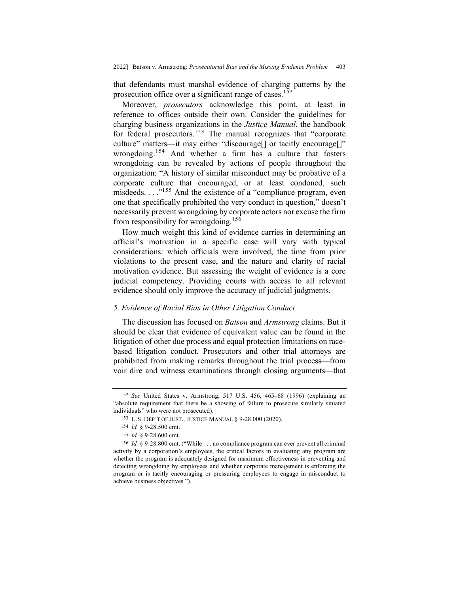that defendants must marshal evidence of charging patterns by the prosecution office over a significant range of cases.<sup>152</sup>

Moreover, *prosecutors* acknowledge this point, at least in reference to offices outside their own. Consider the guidelines for charging business organizations in the *Justice Manual*, the handbook for federal prosecutors.<sup>153</sup> The manual recognizes that "corporate culture" matters—it may either "discourage[] or tacitly encourage[]" wrongdoing.<sup>154</sup> And whether a firm has a culture that fosters wrongdoing can be revealed by actions of people throughout the organization: "A history of similar misconduct may be probative of a corporate culture that encouraged, or at least condoned, such misdeeds. . . .<sup>n155</sup> And the existence of a "compliance program, even one that specifically prohibited the very conduct in question," doesn't necessarily prevent wrongdoing by corporate actors nor excuse the firm from responsibility for wrongdoing.156

How much weight this kind of evidence carries in determining an official's motivation in a specific case will vary with typical considerations: which officials were involved, the time from prior violations to the present case, and the nature and clarity of racial motivation evidence. But assessing the weight of evidence is a core judicial competency. Providing courts with access to all relevant evidence should only improve the accuracy of judicial judgments.

## *5. Evidence of Racial Bias in Other Litigation Conduct*

The discussion has focused on *Batson* and *Armstrong* claims. But it should be clear that evidence of equivalent value can be found in the litigation of other due process and equal protection limitations on racebased litigation conduct. Prosecutors and other trial attorneys are prohibited from making remarks throughout the trial process—from voir dire and witness examinations through closing arguments—that

<sup>152</sup> *See* United States v. Armstrong, 517 U.S. 456, 465–68 (1996) (explaining an "absolute requirement that there be a showing of failure to prosecute similarly situated individuals" who were not prosecuted).

<sup>153</sup> U.S. DEP'T OF JUST., JUSTICE MANUAL § 9-28.000 (2020).

<sup>154</sup> *Id.* § 9-28.500 cmt.

<sup>155</sup> *Id.* § 9-28.600 cmt.

<sup>156</sup> *Id.* § 9-28.800 cmt. ("While . . . no compliance program can ever prevent all criminal activity by a corporation's employees, the critical factors in evaluating any program are whether the program is adequately designed for maximum effectiveness in preventing and detecting wrongdoing by employees and whether corporate management is enforcing the program or is tacitly encouraging or pressuring employees to engage in misconduct to achieve business objectives.").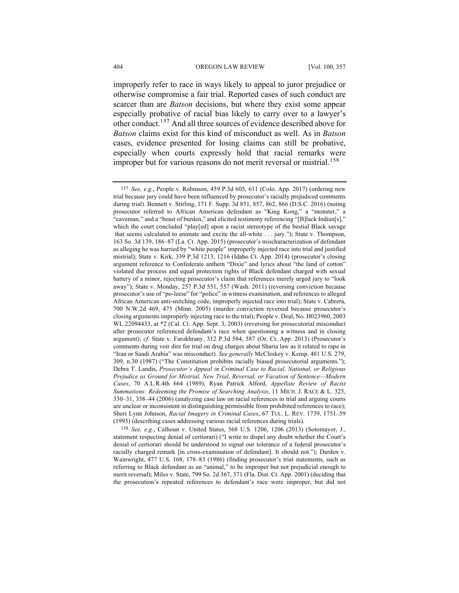improperly refer to race in ways likely to appeal to juror prejudice or otherwise compromise a fair trial. Reported cases of such conduct are scarcer than are *Batson* decisions, but where they exist some appear especially probative of racial bias likely to carry over to a lawyer's other conduct.157 And all three sources of evidence described above for *Batson* claims exist for this kind of misconduct as well. As in *Batson*  cases, evidence presented for losing claims can still be probative, especially when courts expressly hold that racial remarks were improper but for various reasons do not merit reversal or mistrial.<sup>158</sup>

158 *See, e.g.*, Calhoun v. United States, 568 U.S. 1206, 1206 (2013) (Sotomayor, J., statement respecting denial of certiorari) ("I write to dispel any doubt whether the Court's denial of certiorari should be understood to signal our tolerance of a federal prosecutor's racially charged remark [in cross-examination of defendant]. It should not."); Darden v. Wainwright, 477 U.S. 168, 178–83 (1986) (finding prosecutor's trial statements, such as referring to Black defendant as an "animal," to be improper but not prejudicial enough to merit reversal); Miles v. State, 799 So. 2d 367, 371 (Fla. Dist. Ct. App. 2001) (deciding that the prosecution's repeated references to defendant's race were improper, but did not

<sup>157</sup> *See, e.g.*, People v. Robinson, 459 P.3d 605, 611 (Colo. App. 2017) (ordering new trial because jury could have been influenced by prosecutor's racially prejudiced comments during trial). Bennett v. Stirling, 171 F. Supp. 3d 851, 857, 862, 866 (D.S.C. 2016) (noting prosecutor referred to African American defendant as "King Kong," a "monster," a "caveman," and a "beast of burden," and elicited testimony referencing "[B]lack Indian[s]," which the court concluded "play[ed] upon a racist stereotype of the bestial Black savage that seems calculated to animate and excite the all-white . . . jury."); State v. Thompson, 163 So. 3d 139, 186–87 (La. Ct. App. 2015) (prosecutor's mischaracterization of defendant as alleging he was harried by "white people" improperly injected race into trial and justified mistrial); State v. Kirk, 339 P.3d 1213, 1216 (Idaho Ct. App. 2014) (prosecutor's closing argument reference to Confederate anthem "Dixie" and lyrics about "the land of cotton" violated due process and equal protection rights of Black defendant charged with sexual battery of a minor, rejecting prosecutor's claim that references merely urged jury to "look away"); State v. Monday, 257 P.3d 551, 557 (Wash. 2011) (reversing conviction because prosecutor's use of "po-leese" for "police" in witness examination, and references to alleged African American anti-snitching code, improperly injected race into trial); State v. Cabrera, 700 N.W.2d 469, 475 (Minn. 2005) (murder conviction reversed because prosecutor's closing arguments improperly injecting race to the trial); People v. Deal, No. H023960, 2003 WL 22094433, at \*2 (Cal. Ct. App. Sept. 3, 2003) (reversing for prosecutorial misconduct after prosecutor referenced defendant's race when questioning a witness and in closing argument); *cf.* State v. Farokhrany, 312 P.3d 584, 587 (Or. Ct. App. 2013) (Prosecutor's comments during voir dire for trial on drug charges about Sharia law as it related to rape in "Iran or Saudi Arabia" was misconduct). *See generally* McCleskey v. Kemp, 481 U.S. 279, 309, n.30 (1987) ("The Constitution prohibits racially biased prosecutorial arguments."); Debra T. Landis, *Prosecutor's Appeal in Criminal Case to Racial, National, or Religious Prejudice as Ground for Mistrial, New Trial, Reversal, or Vacation of Sentence—Modern Cases*, 70 A.L.R.4th 664 (1989); Ryan Patrick Alford, *Appellate Review of Racist Summations: Redeeming the Promise of Searching Analysis*, 11 MICH. J. RACE & L. 325, 330–31, 338–44 (2006) (analyzing case law on racial references in trial and arguing courts are unclear or inconsistent in distinguishing permissible from prohibited references to race); Sheri Lynn Johnson, *Racial Imagery in Criminal Cases*, 67 TUL. L. REV. 1739, 1751–59 (1993) (describing cases addressing various racial references during trials).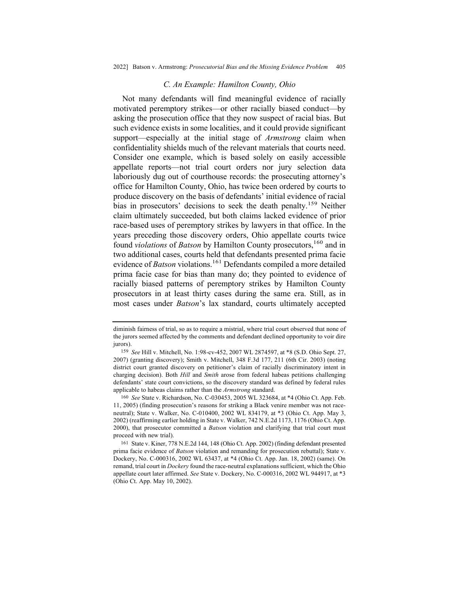#### *C. An Example: Hamilton County, Ohio*

Not many defendants will find meaningful evidence of racially motivated peremptory strikes—or other racially biased conduct—by asking the prosecution office that they now suspect of racial bias. But such evidence exists in some localities, and it could provide significant support—especially at the initial stage of *Armstrong* claim when confidentiality shields much of the relevant materials that courts need. Consider one example, which is based solely on easily accessible appellate reports—not trial court orders nor jury selection data laboriously dug out of courthouse records: the prosecuting attorney's office for Hamilton County, Ohio, has twice been ordered by courts to produce discovery on the basis of defendants' initial evidence of racial bias in prosecutors' decisions to seek the death penalty.<sup>159</sup> Neither claim ultimately succeeded, but both claims lacked evidence of prior race-based uses of peremptory strikes by lawyers in that office. In the years preceding those discovery orders, Ohio appellate courts twice found *violations* of *Batson* by Hamilton County prosecutors,<sup>160</sup> and in two additional cases, courts held that defendants presented prima facie evidence of *Batson* violations.<sup>161</sup> Defendants compiled a more detailed prima facie case for bias than many do; they pointed to evidence of racially biased patterns of peremptory strikes by Hamilton County prosecutors in at least thirty cases during the same era. Still, as in most cases under *Batson*'s lax standard, courts ultimately accepted

diminish fairness of trial, so as to require a mistrial, where trial court observed that none of the jurors seemed affected by the comments and defendant declined opportunity to voir dire jurors).

<sup>159</sup> *See* Hill v. Mitchell, No. 1:98-cv-452, 2007 WL 2874597, at \*8 (S.D. Ohio Sept. 27, 2007) (granting discovery); Smith v. Mitchell, 348 F.3d 177, 211 (6th Cir. 2003) (noting district court granted discovery on petitioner's claim of racially discriminatory intent in charging decision). Both *Hill* and *Smith* arose from federal habeas petitions challenging defendants' state court convictions, so the discovery standard was defined by federal rules applicable to habeas claims rather than the *Armstrong* standard.

<sup>160</sup> *See* State v. Richardson, No. C-030453, 2005 WL 323684, at \*4 (Ohio Ct. App. Feb. 11, 2005) (finding prosecution's reasons for striking a Black venire member was not raceneutral); State v. Walker, No. C-010400, 2002 WL 834179, at \*3 (Ohio Ct. App. May 3, 2002) (reaffirming earlier holding in State v. Walker, 742 N.E.2d 1173, 1176 (Ohio Ct. App. 2000), that prosecutor committed a *Batson* violation and clarifying that trial court must proceed with new trial).

<sup>161</sup> State v. Kiner, 778 N.E.2d 144, 148 (Ohio Ct. App. 2002) (finding defendant presented prima facie evidence of *Batson* violation and remanding for prosecution rebuttal); State v. Dockery, No. C-000316, 2002 WL 63437, at \*4 (Ohio Ct. App. Jan. 18, 2002) (same). On remand, trial court in *Dockery* found the race-neutral explanations sufficient, which the Ohio appellate court later affirmed. *See* State v. Dockery, No. C-000316, 2002 WL 944917, at \*3 (Ohio Ct. App. May 10, 2002).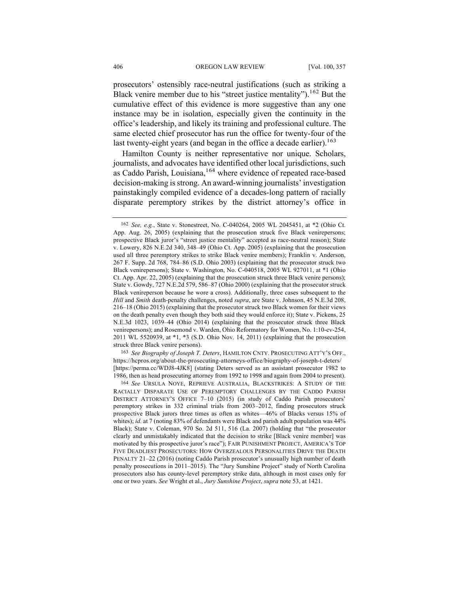prosecutors' ostensibly race-neutral justifications (such as striking a Black venire member due to his "street justice mentality").<sup>162</sup> But the cumulative effect of this evidence is more suggestive than any one instance may be in isolation, especially given the continuity in the office's leadership, and likely its training and professional culture. The same elected chief prosecutor has run the office for twenty-four of the last twenty-eight years (and began in the office a decade earlier).<sup>163</sup>

Hamilton County is neither representative nor unique. Scholars, journalists, and advocates have identified other local jurisdictions, such as Caddo Parish, Louisiana,<sup>164</sup> where evidence of repeated race-based decision-making is strong. An award-winning journalists' investigation painstakingly compiled evidence of a decades-long pattern of racially disparate peremptory strikes by the district attorney's office in

163 *See Biography of Joseph T. Deters*, HAMILTON CNTY. PROSECUTING ATT'Y'S OFF., https://hcpros.org/about-the-prosecuting-attorneys-office/biography-of-joseph-t-deters/ [https://perma.cc/WDJ8-4JK8] (stating Deters served as an assistant prosecutor 1982 to 1986, then as head prosecuting attorney from 1992 to 1998 and again from 2004 to present).

<sup>162</sup> *See, e.g.*, State v. Stonestreet, No. C-040264, 2005 WL 2045451, at \*2 (Ohio Ct. App. Aug. 26, 2005) (explaining that the prosecution struck five Black venirepersons; prospective Black juror's "street justice mentality" accepted as race-neutral reason); State v. Lowery, 826 N.E.2d 340, 348–49 (Ohio Ct. App. 2005) (explaining that the prosecution used all three peremptory strikes to strike Black venire members); Franklin v. Anderson, 267 F. Supp. 2d 768, 784–86 (S.D. Ohio 2003) (explaining that the prosecutor struck two Black venirepersons); State v. Washington, No. C-040518, 2005 WL 927011, at \*1 (Ohio Ct. App. Apr. 22, 2005) (explaining that the prosecution struck three Black venire persons); State v. Gowdy, 727 N.E.2d 579, 586–87 (Ohio 2000) (explaining that the prosecutor struck Black venireperson because he wore a cross). Additionally, three cases subsequent to the *Hill* and *Smith* death-penalty challenges, noted *supra*, are State v. Johnson, 45 N.E.3d 208, 216–18 (Ohio 2015) (explaining that the prosecutor struck two Black women for their views on the death penalty even though they both said they would enforce it); State v. Pickens, 25 N.E.3d 1023, 1039–44 (Ohio 2014) (explaining that the prosecutor struck three Black venirepersons); and Rosemond v. Warden, Ohio Reformatory for Women, No. 1:10-cv-254, 2011 WL 5520939, at \*1, \*3 (S.D. Ohio Nov. 14, 2011) (explaining that the prosecution struck three Black venire persons).

<sup>164</sup> *See* URSULA NOYE, REPRIEVE AUSTRALIA, BLACKSTRIKES: A STUDY OF THE RACIALLY DISPARATE USE OF PEREMPTORY CHALLENGES BY THE CADDO PARISH DISTRICT ATTORNEY'S OFFICE 7–10 (2015) (in study of Caddo Parish prosecutors' peremptory strikes in 332 criminal trials from 2003–2012, finding prosecutors struck prospective Black jurors three times as often as whites—46% of Blacks versus 15% of whites); *id.* at 7 (noting 83% of defendants were Black and parish adult population was 44% Black); State v. Coleman, 970 So. 2d 511, 516 (La. 2007) (holding that "the prosecutor clearly and unmistakably indicated that the decision to strike [Black venire member] was motivated by this prospective juror's race"); FAIR PUNISHMENT PROJECT, AMERICA'S TOP FIVE DEADLIEST PROSECUTORS: HOW OVERZEALOUS PERSONALITIES DRIVE THE DEATH PENALTY 21–22 (2016) (noting Caddo Parish prosecutor's unusually high number of death penalty prosecutions in 2011–2015). The "Jury Sunshine Project" study of North Carolina prosecutors also has county-level peremptory strike data, although in most cases only for one or two years. *See* Wright et al., *Jury Sunshine Project*, *supra* note 53, at 1421.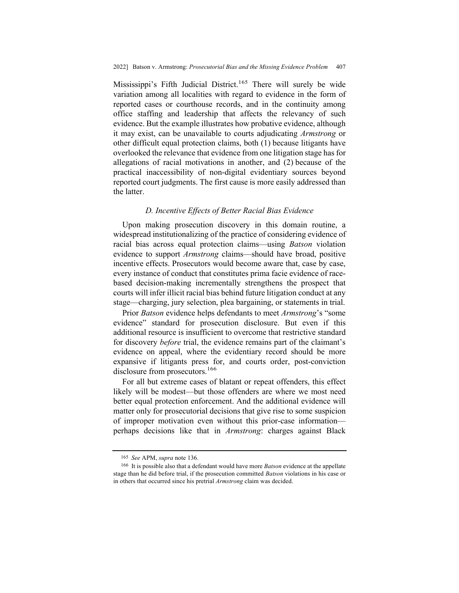Mississippi's Fifth Judicial District.<sup>165</sup> There will surely be wide variation among all localities with regard to evidence in the form of reported cases or courthouse records, and in the continuity among office staffing and leadership that affects the relevancy of such evidence. But the example illustrates how probative evidence, although it may exist, can be unavailable to courts adjudicating *Armstrong* or other difficult equal protection claims, both (1) because litigants have overlooked the relevance that evidence from one litigation stage has for allegations of racial motivations in another, and (2) because of the practical inaccessibility of non-digital evidentiary sources beyond reported court judgments. The first cause is more easily addressed than the latter.

## *D. Incentive Effects of Better Racial Bias Evidence*

Upon making prosecution discovery in this domain routine, a widespread institutionalizing of the practice of considering evidence of racial bias across equal protection claims—using *Batson* violation evidence to support *Armstrong* claims—should have broad, positive incentive effects. Prosecutors would become aware that, case by case, every instance of conduct that constitutes prima facie evidence of racebased decision-making incrementally strengthens the prospect that courts will infer illicit racial bias behind future litigation conduct at any stage—charging, jury selection, plea bargaining, or statements in trial.

Prior *Batson* evidence helps defendants to meet *Armstrong*'s "some evidence" standard for prosecution disclosure. But even if this additional resource is insufficient to overcome that restrictive standard for discovery *before* trial, the evidence remains part of the claimant's evidence on appeal, where the evidentiary record should be more expansive if litigants press for, and courts order, post-conviction disclosure from prosecutors.<sup>166</sup>

For all but extreme cases of blatant or repeat offenders, this effect likely will be modest—but those offenders are where we most need better equal protection enforcement. And the additional evidence will matter only for prosecutorial decisions that give rise to some suspicion of improper motivation even without this prior-case information perhaps decisions like that in *Armstrong*: charges against Black

<sup>165</sup> *See* APM, *supra* note 136.

<sup>166</sup> It is possible also that a defendant would have more *Batson* evidence at the appellate stage than he did before trial, if the prosecution committed *Batson* violations in his case or in others that occurred since his pretrial *Armstrong* claim was decided.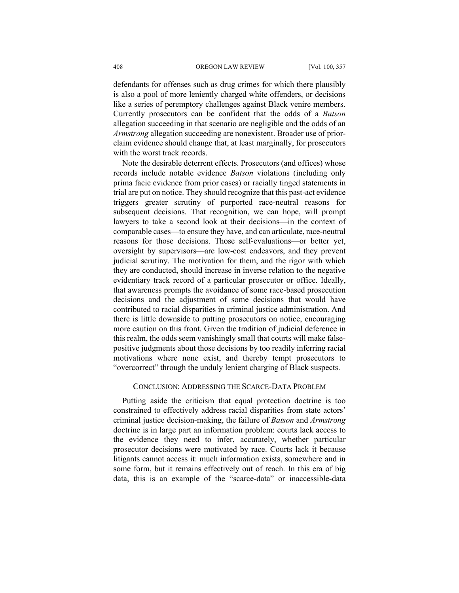defendants for offenses such as drug crimes for which there plausibly is also a pool of more leniently charged white offenders, or decisions like a series of peremptory challenges against Black venire members. Currently prosecutors can be confident that the odds of a *Batson* allegation succeeding in that scenario are negligible and the odds of an *Armstrong* allegation succeeding are nonexistent. Broader use of priorclaim evidence should change that, at least marginally, for prosecutors with the worst track records.

Note the desirable deterrent effects. Prosecutors (and offices) whose records include notable evidence *Batson* violations (including only prima facie evidence from prior cases) or racially tinged statements in trial are put on notice. They should recognize that this past-act evidence triggers greater scrutiny of purported race-neutral reasons for subsequent decisions. That recognition, we can hope, will prompt lawyers to take a second look at their decisions—in the context of comparable cases—to ensure they have, and can articulate, race-neutral reasons for those decisions. Those self-evaluations—or better yet, oversight by supervisors—are low-cost endeavors, and they prevent judicial scrutiny. The motivation for them, and the rigor with which they are conducted, should increase in inverse relation to the negative evidentiary track record of a particular prosecutor or office. Ideally, that awareness prompts the avoidance of some race-based prosecution decisions and the adjustment of some decisions that would have contributed to racial disparities in criminal justice administration. And there is little downside to putting prosecutors on notice, encouraging more caution on this front. Given the tradition of judicial deference in this realm, the odds seem vanishingly small that courts will make falsepositive judgments about those decisions by too readily inferring racial motivations where none exist, and thereby tempt prosecutors to "overcorrect" through the unduly lenient charging of Black suspects.

### CONCLUSION: ADDRESSING THE SCARCE-DATA PROBLEM

Putting aside the criticism that equal protection doctrine is too constrained to effectively address racial disparities from state actors' criminal justice decision-making, the failure of *Batson* and *Armstrong*  doctrine is in large part an information problem: courts lack access to the evidence they need to infer, accurately, whether particular prosecutor decisions were motivated by race. Courts lack it because litigants cannot access it: much information exists, somewhere and in some form, but it remains effectively out of reach. In this era of big data, this is an example of the "scarce-data" or inaccessible-data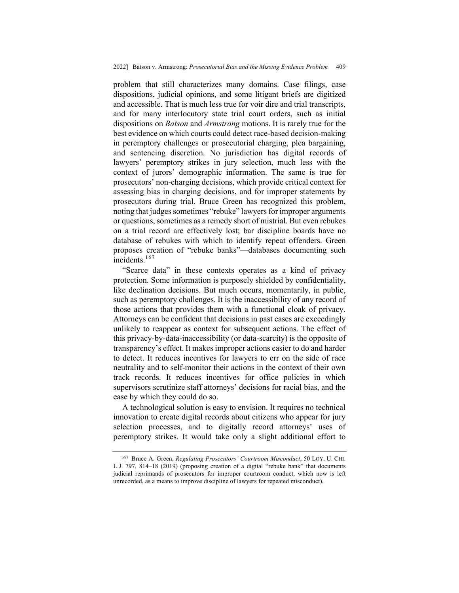problem that still characterizes many domains. Case filings, case dispositions, judicial opinions, and some litigant briefs are digitized and accessible. That is much less true for voir dire and trial transcripts, and for many interlocutory state trial court orders, such as initial dispositions on *Batson* and *Armstrong* motions. It is rarely true for the best evidence on which courts could detect race-based decision-making in peremptory challenges or prosecutorial charging, plea bargaining, and sentencing discretion. No jurisdiction has digital records of lawyers' peremptory strikes in jury selection, much less with the context of jurors' demographic information. The same is true for prosecutors' non-charging decisions, which provide critical context for assessing bias in charging decisions, and for improper statements by prosecutors during trial. Bruce Green has recognized this problem, noting that judges sometimes "rebuke" lawyers for improper arguments or questions, sometimes as a remedy short of mistrial. But even rebukes on a trial record are effectively lost; bar discipline boards have no database of rebukes with which to identify repeat offenders. Green proposes creation of "rebuke banks"—databases documenting such incidents.<sup>167</sup>

"Scarce data" in these contexts operates as a kind of privacy protection. Some information is purposely shielded by confidentiality, like declination decisions. But much occurs, momentarily, in public, such as peremptory challenges. It is the inaccessibility of any record of those actions that provides them with a functional cloak of privacy. Attorneys can be confident that decisions in past cases are exceedingly unlikely to reappear as context for subsequent actions. The effect of this privacy-by-data-inaccessibility (or data-scarcity) is the opposite of transparency's effect. It makes improper actions easier to do and harder to detect. It reduces incentives for lawyers to err on the side of race neutrality and to self-monitor their actions in the context of their own track records. It reduces incentives for office policies in which supervisors scrutinize staff attorneys' decisions for racial bias, and the ease by which they could do so.

A technological solution is easy to envision. It requires no technical innovation to create digital records about citizens who appear for jury selection processes, and to digitally record attorneys' uses of peremptory strikes. It would take only a slight additional effort to

<sup>167</sup> Bruce A. Green, *Regulating Prosecutors' Courtroom Misconduct*, 50 LOY. U. CHI. L.J. 797, 814–18 (2019) (proposing creation of a digital "rebuke bank" that documents judicial reprimands of prosecutors for improper courtroom conduct, which now is left unrecorded, as a means to improve discipline of lawyers for repeated misconduct).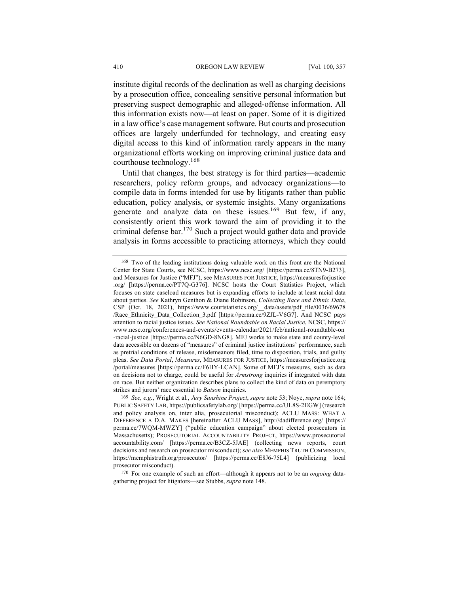institute digital records of the declination as well as charging decisions by a prosecution office, concealing sensitive personal information but preserving suspect demographic and alleged-offense information. All this information exists now—at least on paper. Some of it is digitized in a law office's case management software. But courts and prosecution offices are largely underfunded for technology, and creating easy digital access to this kind of information rarely appears in the many organizational efforts working on improving criminal justice data and courthouse technology.<sup>168</sup>

Until that changes, the best strategy is for third parties—academic researchers, policy reform groups, and advocacy organizations—to compile data in forms intended for use by litigants rather than public education, policy analysis, or systemic insights. Many organizations generate and analyze data on these issues.<sup>169</sup> But few, if any, consistently orient this work toward the aim of providing it to the criminal defense  $bar^{170}$  Such a project would gather data and provide analysis in forms accessible to practicing attorneys, which they could

<sup>168</sup> Two of the leading institutions doing valuable work on this front are the National Center for State Courts, see NCSC, https://www.ncsc.org/ [https://perma.cc/8TN9-B273], and Measures for Justice ("MFJ"), see MEASURES FOR JUSTICE, https://measuresforjustice .org/ [https://perma.cc/PT7Q-G376]. NCSC hosts the Court Statistics Project, which focuses on state caseload measures but is expanding efforts to include at least racial data about parties. *See* Kathryn Genthon & Diane Robinson, *Collecting Race and Ethnic Data*, CSP (Oct. 18, 2021), https://www.courtstatistics.org/\_\_data/assets/pdf\_file/0036/69678 /Race\_Ethnicity\_Data\_Collection\_3.pdf [https://perma.cc/9ZJL-V6G7]. And NCSC pays attention to racial justice issues. *See National Roundtable on Racial Justice*, NCSC, https:// www.ncsc.org/conferences-and-events/events-calendar/2021/feb/national-roundtable-on -racial-justice [https://perma.cc/N6GD-8NG8]. MFJ works to make state and county-level data accessible on dozens of "measures" of criminal justice institutions' performance, such as pretrial conditions of release, misdemeanors filed, time to disposition, trials, and guilty pleas. *See Data Portal*, *Measures*, MEASURES FOR JUSTICE, https://measuresforjustice.org /portal/measures [https://perma.cc/F6HY-LCAN]. Some of MFJ's measures, such as data on decisions not to charge, could be useful for *Armstrong* inquiries if integrated with data on race. But neither organization describes plans to collect the kind of data on peremptory strikes and jurors' race essential to *Batson* inquiries.

<sup>169</sup> *See, e.g.*, Wright et al., *Jury Sunshine Project*, *supra* note 53; Noye, *supra* note 164; PUBLIC SAFETY LAB, https://publicsafetylab.org/ [https://perma.cc/UL8S-2EGW] (research and policy analysis on, inter alia, prosecutorial misconduct); ACLU MASS: WHAT A DIFFERENCE A D.A. MAKES [hereinafter ACLU MASS], http://dadifference.org/ [https:// perma.cc/7WQM-MWZY] ("public education campaign" about elected prosecutors in Massachusetts); PROSECUTORIAL ACCOUNTABILITY PROJECT, https://www.prosecutorial accountability.com/ [https://perma.cc/B3CZ-5JAE] (collecting news reports, court decisions and research on prosecutor misconduct); *see also* MEMPHIS TRUTH COMMISSION, https://memphistruth.org/prosecutor/ [https://perma.cc/E8J6-75L4] (publicizing local prosecutor misconduct).

<sup>170</sup> For one example of such an effort—although it appears not to be an *ongoing* datagathering project for litigators—see Stubbs, *supra* note 148.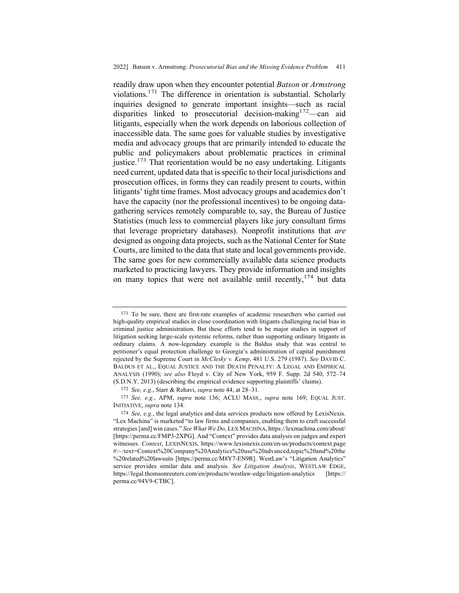readily draw upon when they encounter potential *Batson* or *Armstrong*  violations.<sup>171</sup> The difference in orientation is substantial. Scholarly inquiries designed to generate important insights—such as racial disparities linked to prosecutorial decision-making<sup>172</sup>—can aid litigants, especially when the work depends on laborious collection of inaccessible data. The same goes for valuable studies by investigative media and advocacy groups that are primarily intended to educate the public and policymakers about problematic practices in criminal justice.<sup>173</sup> That reorientation would be no easy undertaking. Litigants need current, updated data that is specific to their local jurisdictions and prosecution offices, in forms they can readily present to courts, within litigants' tight time frames. Most advocacy groups and academics don't have the capacity (nor the professional incentives) to be ongoing datagathering services remotely comparable to, say, the Bureau of Justice Statistics (much less to commercial players like jury consultant firms that leverage proprietary databases). Nonprofit institutions that *are* designed as ongoing data projects, such as the National Center for State Courts, are limited to the data that state and local governments provide. The same goes for new commercially available data science products marketed to practicing lawyers. They provide information and insights on many topics that were not available until recently,  $174$  but data

<sup>&</sup>lt;sup>171</sup> To be sure, there are first-rate examples of academic researchers who carried out high-quality empirical studies in close coordination with litigants challenging racial bias in criminal justice administration. But these efforts tend to be major studies in support of litigation seeking large-scale systemic reforms, rather than supporting ordinary litigants in ordinary claims. A now-legendary example is the Baldus study that was central to petitioner's equal protection challenge to Georgia's administration of capital punishment rejected by the Supreme Court in *McClesky v. Kemp*, 481 U.S. 279 (1987). *See* DAVID C. BALDUS ET AL., EQUAL JUSTICE AND THE DEATH PENALTY: A LEGAL AND EMPIRICAL ANALYSIS (1990); *see also* Floyd v. City of New York, 959 F. Supp. 2d 540, 572–74 (S.D.N.Y. 2013) (describing the empirical evidence supporting plaintiffs' claims).

<sup>172</sup> *See, e.g.*, Starr & Rehavi, *supra* note 44, at 28–31.

<sup>173</sup> *See, e.g.*, APM, *supra* note 136; ACLU MASS., *supra* note 169; EQUAL JUST. INITIATIVE, *supra* note 134.

<sup>174</sup> *See, e.g.*, the legal analytics and data services products now offered by LexisNexis. "Lex Machina" is marketed "to law firms and companies, enabling them to craft successful strategies [and] win cases." *See What We Do*, LEX MACHINA, https://lexmachina.com/about/ [https://perma.cc/FMP3-2XPG]. And "Context" provides data analysis on judges and expert witnesses. *Context*, LEXISNEXIS, https://www.lexisnexis.com/en-us/products/context.page #:~:text=Context%20Company%20Analytics%20use%20advanced,topic%20and%20the %20related%20lawsuits [https://perma.cc/M8Y7-EN9R]. WestLaw's "Litigation Analytics" service provides similar data and analysis. *See Litigation Analysis*, WESTLAW EDGE, https://legal.thomsonreuters.com/en/products/westlaw-edge/litigation-analytics [https:// perma.cc/94V9-CTBC].